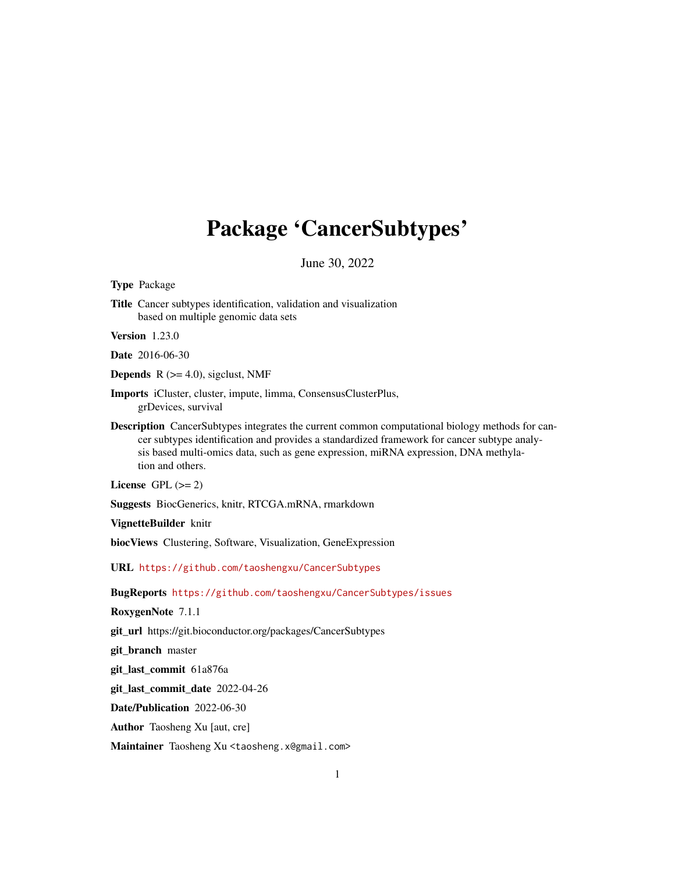# <span id="page-0-0"></span>Package 'CancerSubtypes'

June 30, 2022

Type Package

Title Cancer subtypes identification, validation and visualization based on multiple genomic data sets

Version 1.23.0

Date 2016-06-30

**Depends**  $R$  ( $>= 4.0$ ), sigclust, NMF

Imports iCluster, cluster, impute, limma, ConsensusClusterPlus, grDevices, survival

Description CancerSubtypes integrates the current common computational biology methods for cancer subtypes identification and provides a standardized framework for cancer subtype analysis based multi-omics data, such as gene expression, miRNA expression, DNA methylation and others.

License GPL  $(>= 2)$ 

Suggests BiocGenerics, knitr, RTCGA.mRNA, rmarkdown

VignetteBuilder knitr

biocViews Clustering, Software, Visualization, GeneExpression

URL <https://github.com/taoshengxu/CancerSubtypes>

BugReports <https://github.com/taoshengxu/CancerSubtypes/issues>

RoxygenNote 7.1.1

git\_url https://git.bioconductor.org/packages/CancerSubtypes

git\_branch master

git\_last\_commit 61a876a

git\_last\_commit\_date 2022-04-26

Date/Publication 2022-06-30

Author Taosheng Xu [aut, cre]

Maintainer Taosheng Xu <taosheng.x@gmail.com>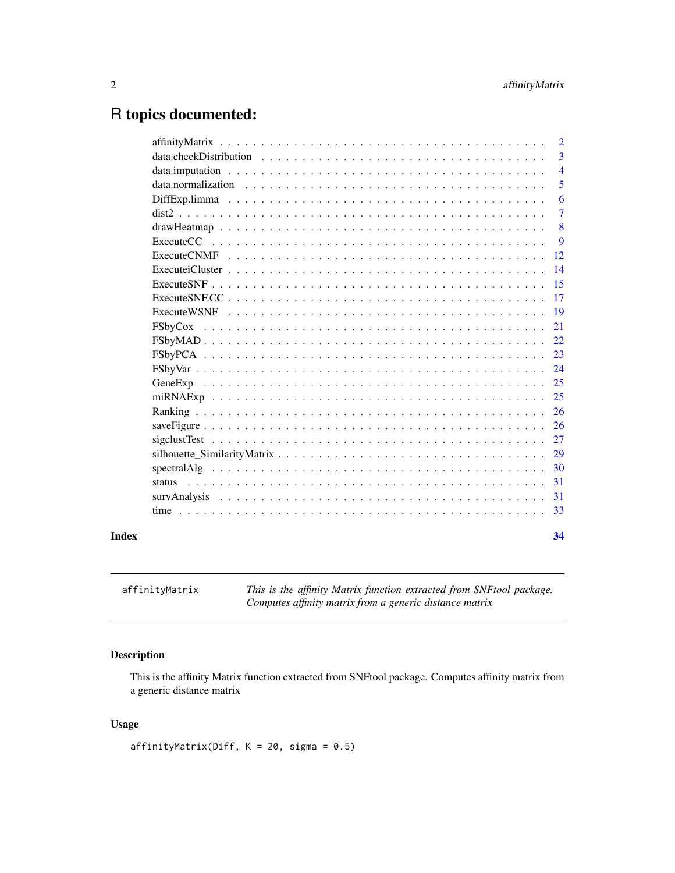## <span id="page-1-0"></span>R topics documented:

| 2                                                                                                              |
|----------------------------------------------------------------------------------------------------------------|
| 3                                                                                                              |
| $\overline{4}$                                                                                                 |
| 5                                                                                                              |
| 6                                                                                                              |
| $\overline{7}$                                                                                                 |
| 8                                                                                                              |
| 9                                                                                                              |
| 12                                                                                                             |
| 14                                                                                                             |
| 15                                                                                                             |
| 17                                                                                                             |
| 19                                                                                                             |
| 21                                                                                                             |
| 22                                                                                                             |
| 23                                                                                                             |
| 24                                                                                                             |
| 25                                                                                                             |
|                                                                                                                |
|                                                                                                                |
| 26                                                                                                             |
|                                                                                                                |
|                                                                                                                |
| 30                                                                                                             |
| $-31$                                                                                                          |
| -31                                                                                                            |
|                                                                                                                |
| 34                                                                                                             |
| $spectral Alg \dots \dots \dots \dots \dots \dots \dots \dots \dots \dots \dots \dots \dots \dots \dots \dots$ |

affinityMatrix *This is the affinity Matrix function extracted from SNFtool package. Computes affinity matrix from a generic distance matrix*

### Description

This is the affinity Matrix function extracted from SNFtool package. Computes affinity matrix from a generic distance matrix

### Usage

affinityMatrix(Diff,  $K = 20$ , sigma = 0.5)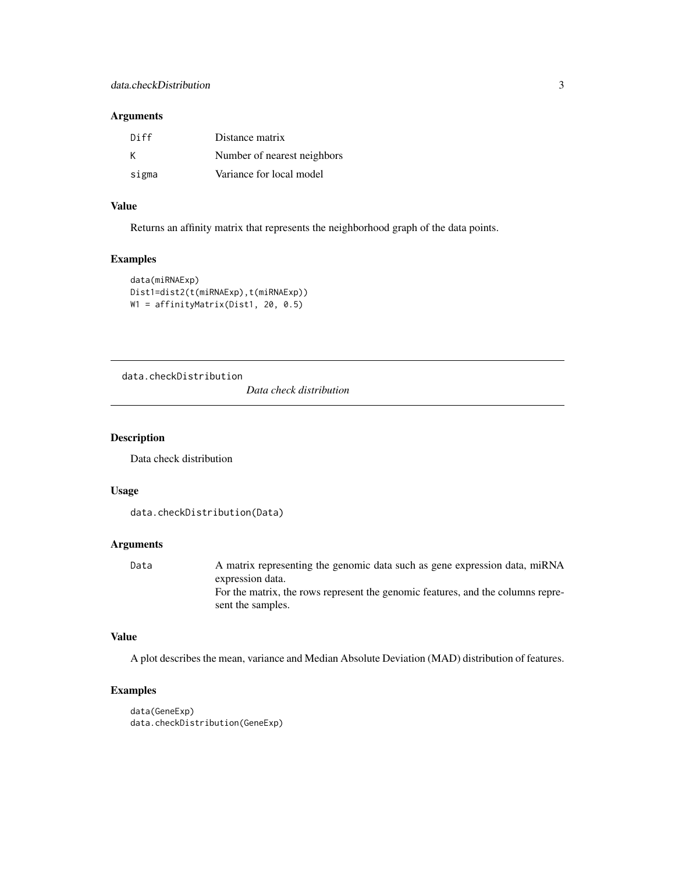### <span id="page-2-0"></span>Arguments

| Diff  | Distance matrix             |
|-------|-----------------------------|
| к     | Number of nearest neighbors |
| sigma | Variance for local model    |

### Value

Returns an affinity matrix that represents the neighborhood graph of the data points.

#### Examples

```
data(miRNAExp)
Dist1=dist2(t(miRNAExp),t(miRNAExp))
W1 = affinityMatrix(Dist1, 20, 0.5)
```
data.checkDistribution

*Data check distribution*

#### Description

Data check distribution

### Usage

```
data.checkDistribution(Data)
```
### Arguments

Data A matrix representing the genomic data such as gene expression data, miRNA expression data. For the matrix, the rows represent the genomic features, and the columns represent the samples.

### Value

A plot describes the mean, variance and Median Absolute Deviation (MAD) distribution of features.

```
data(GeneExp)
data.checkDistribution(GeneExp)
```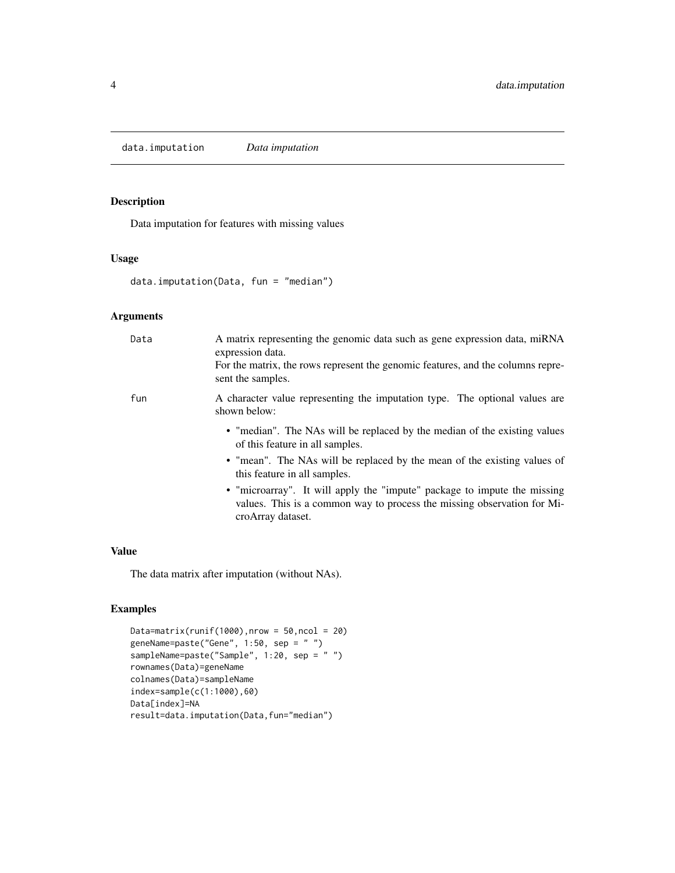<span id="page-3-0"></span>data.imputation *Data imputation*

### Description

Data imputation for features with missing values

#### Usage

```
data.imputation(Data, fun = "median")
```
### Arguments

| Data | A matrix representing the genomic data such as gene expression data, miRNA<br>expression data.<br>For the matrix, the rows represent the genomic features, and the columns repre-<br>sent the samples. |
|------|--------------------------------------------------------------------------------------------------------------------------------------------------------------------------------------------------------|
| fun  | A character value representing the imputation type. The optional values are<br>shown below:                                                                                                            |
|      | • "median". The NAs will be replaced by the median of the existing values<br>of this feature in all samples.                                                                                           |
|      | • "mean". The NAs will be replaced by the mean of the existing values of<br>this feature in all samples.                                                                                               |
|      | • "microarray". It will apply the "impute" package to impute the missing<br>values. This is a common way to process the missing observation for Mi-<br>croArray dataset.                               |

#### Value

The data matrix after imputation (without NAs).

```
Data=matrix(runif(1000),nrow = 50,ncol = 20)
geneName=paste("Gene", 1:50, sep = " ")
sampleName=paste("Sample", 1:20, sep = " ")
rownames(Data)=geneName
colnames(Data)=sampleName
index=sample(c(1:1000),60)
Data[index]=NA
result=data.imputation(Data,fun="median")
```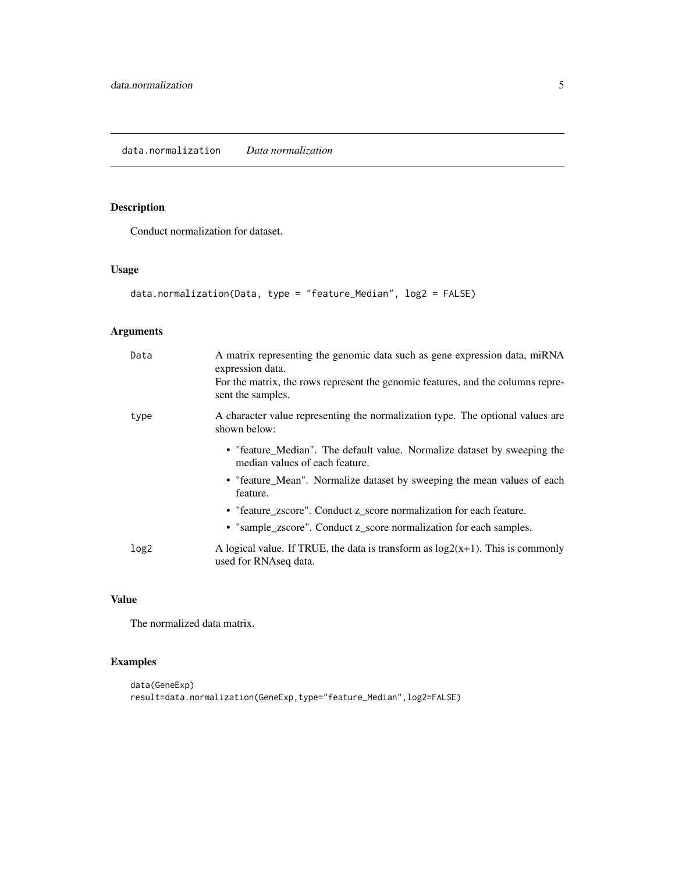<span id="page-4-0"></span>Conduct normalization for dataset.

### Usage

```
data.normalization(Data, type = "feature_Median", log2 = FALSE)
```
### Arguments

| Data             | A matrix representing the genomic data such as gene expression data, miRNA<br>expression data.<br>For the matrix, the rows represent the genomic features, and the columns repre-<br>sent the samples. |
|------------------|--------------------------------------------------------------------------------------------------------------------------------------------------------------------------------------------------------|
| type             | A character value representing the normalization type. The optional values are<br>shown below:                                                                                                         |
|                  | • "feature_Median". The default value. Normalize dataset by sweeping the<br>median values of each feature.                                                                                             |
|                  | • "feature_Mean". Normalize dataset by sweeping the mean values of each<br>feature.                                                                                                                    |
|                  | • "feature_zscore". Conduct z_score normalization for each feature.                                                                                                                                    |
|                  | • "sample_zscore". Conduct z_score normalization for each samples.                                                                                                                                     |
| log <sub>2</sub> | A logical value. If TRUE, the data is transform as $log2(x+1)$ . This is commonly<br>used for RNAseq data.                                                                                             |

### Value

The normalized data matrix.

```
data(GeneExp)
result=data.normalization(GeneExp,type="feature_Median",log2=FALSE)
```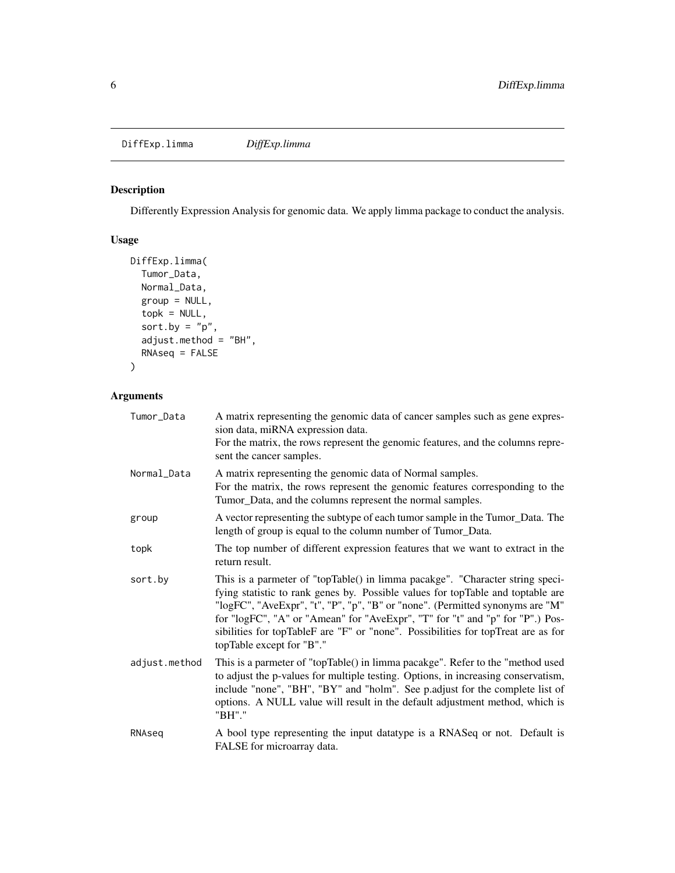<span id="page-5-0"></span>Differently Expression Analysis for genomic data. We apply limma package to conduct the analysis.

### Usage

```
DiffExp.limma(
  Tumor_Data,
  Normal_Data,
  group = NULL,
  topk = NULL,
  sort.by = "p",adjust.method = "BH",
  RNAseq = FALSE
\overline{\phantom{a}}
```

| Tumor_Data    | A matrix representing the genomic data of cancer samples such as gene expres-<br>sion data, miRNA expression data.<br>For the matrix, the rows represent the genomic features, and the columns repre-<br>sent the cancer samples.                                                                                                                                                                                                                    |
|---------------|------------------------------------------------------------------------------------------------------------------------------------------------------------------------------------------------------------------------------------------------------------------------------------------------------------------------------------------------------------------------------------------------------------------------------------------------------|
| Normal_Data   | A matrix representing the genomic data of Normal samples.<br>For the matrix, the rows represent the genomic features corresponding to the<br>Tumor_Data, and the columns represent the normal samples.                                                                                                                                                                                                                                               |
| group         | A vector representing the subtype of each tumor sample in the Tumor_Data. The<br>length of group is equal to the column number of Tumor_Data.                                                                                                                                                                                                                                                                                                        |
| topk          | The top number of different expression features that we want to extract in the<br>return result.                                                                                                                                                                                                                                                                                                                                                     |
| sort.by       | This is a parmeter of "topTable() in limma pacakge". "Character string speci-<br>fying statistic to rank genes by. Possible values for topTable and toptable are<br>"logFC", "AveExpr", "t", "P", "p", "B" or "none". (Permitted synonyms are "M"<br>for "logFC", "A" or "Amean" for "AveExpr", "T" for "t" and "p" for "P".) Pos-<br>sibilities for topTableF are "F" or "none". Possibilities for topTreat are as for<br>topTable except for "B"." |
| adjust.method | This is a parmeter of "topTable() in limma pacakge". Refer to the "method used<br>to adjust the p-values for multiple testing. Options, in increasing conservatism,<br>include "none", "BH", "BY" and "holm". See p.adjust for the complete list of<br>options. A NULL value will result in the default adjustment method, which is<br>"BH"."                                                                                                        |
| RNAseg        | A bool type representing the input datatype is a RNASeq or not. Default is<br>FALSE for microarray data.                                                                                                                                                                                                                                                                                                                                             |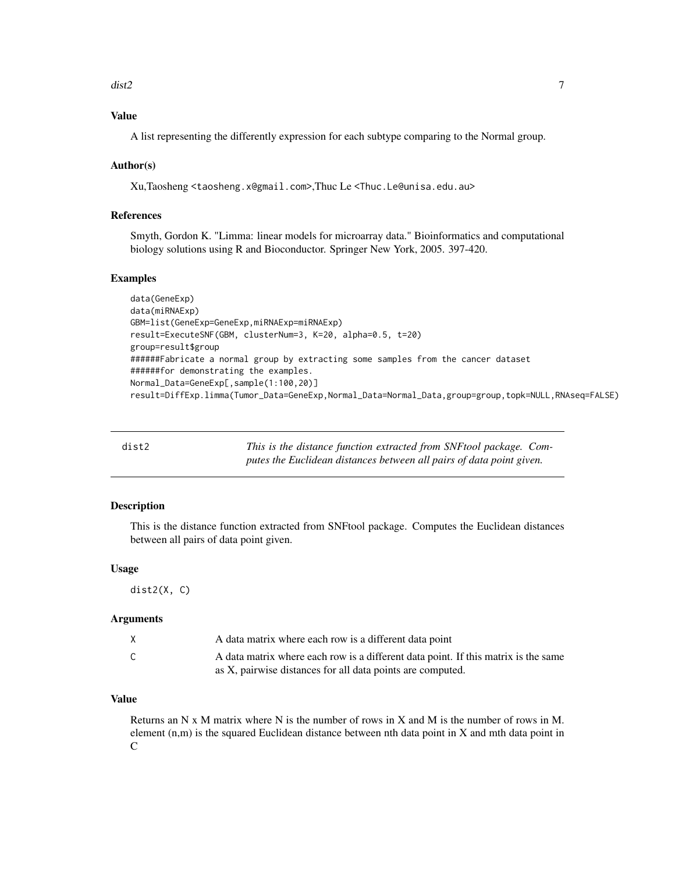#### <span id="page-6-0"></span> $\frac{d}{dt}$  dist2 7

### Value

A list representing the differently expression for each subtype comparing to the Normal group.

#### Author(s)

Xu,Taosheng <taosheng.x@gmail.com>,Thuc Le <Thuc.Le@unisa.edu.au>

### References

Smyth, Gordon K. "Limma: linear models for microarray data." Bioinformatics and computational biology solutions using R and Bioconductor. Springer New York, 2005. 397-420.

#### Examples

```
data(GeneExp)
data(miRNAExp)
GBM=list(GeneExp=GeneExp,miRNAExp=miRNAExp)
result=ExecuteSNF(GBM, clusterNum=3, K=20, alpha=0.5, t=20)
group=result$group
######Fabricate a normal group by extracting some samples from the cancer dataset
######for demonstrating the examples.
Normal_Data=GeneExp[,sample(1:100,20)]
result=DiffExp.limma(Tumor_Data=GeneExp,Normal_Data=Normal_Data,group=group,topk=NULL,RNAseq=FALSE)
```

| dist2 | This is the distance function extracted from SNF tool package. Com-  |
|-------|----------------------------------------------------------------------|
|       | putes the Euclidean distances between all pairs of data point given. |

#### Description

This is the distance function extracted from SNFtool package. Computes the Euclidean distances between all pairs of data point given.

#### Usage

dist2(X, C)

#### Arguments

| X | A data matrix where each row is a different data point                             |
|---|------------------------------------------------------------------------------------|
|   | A data matrix where each row is a different data point. If this matrix is the same |
|   | as X, pairwise distances for all data points are computed.                         |

### Value

Returns an N x M matrix where N is the number of rows in X and M is the number of rows in M. element (n,m) is the squared Euclidean distance between nth data point in X and mth data point in C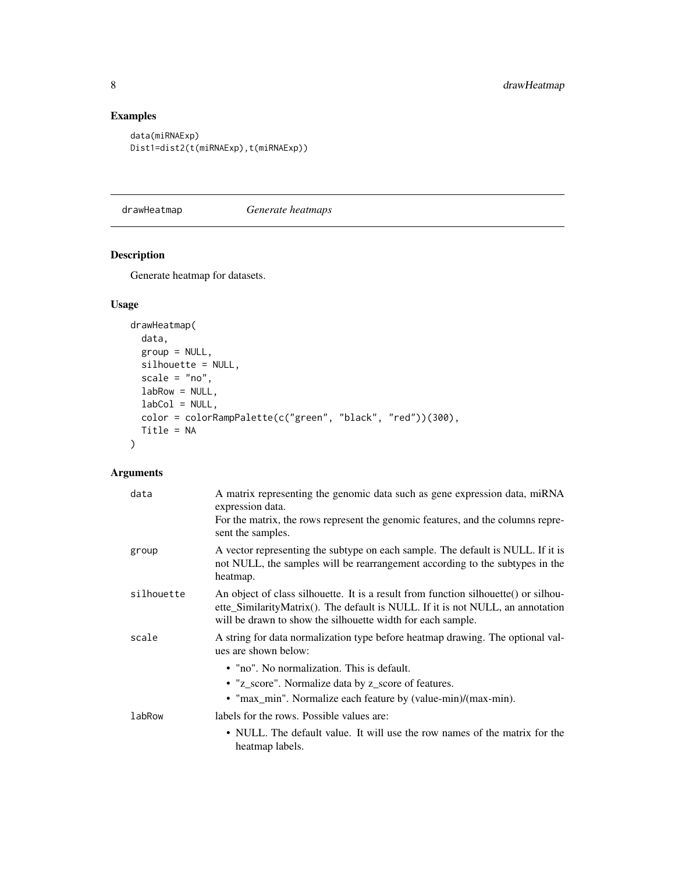### Examples

```
data(miRNAExp)
Dist1=dist2(t(miRNAExp),t(miRNAExp))
```
drawHeatmap *Generate heatmaps*

### Description

Generate heatmap for datasets.

### Usage

```
drawHeatmap(
 data,
 group = NULL,silhouette = NULL,
  scale = "no",labRow = NULL,
 labCol = NULL,color = colorRampPalette(c("green", "black", "red"))(300),
 Title = NA
\mathcal{L}
```

| data       | A matrix representing the genomic data such as gene expression data, miRNA<br>expression data.<br>For the matrix, the rows represent the genomic features, and the columns repre-<br>sent the samples.                               |
|------------|--------------------------------------------------------------------------------------------------------------------------------------------------------------------------------------------------------------------------------------|
| group      | A vector representing the subtype on each sample. The default is NULL. If it is<br>not NULL, the samples will be rearrangement according to the subtypes in the<br>heatmap.                                                          |
| silhouette | An object of class silhouette. It is a result from function silhouette() or silhou-<br>ette_SimilarityMatrix(). The default is NULL. If it is not NULL, an annotation<br>will be drawn to show the silhouette width for each sample. |
| scale      | A string for data normalization type before heatmap drawing. The optional val-<br>ues are shown below:                                                                                                                               |
|            | • "no". No normalization. This is default.                                                                                                                                                                                           |
|            | • "z_score". Normalize data by z_score of features.                                                                                                                                                                                  |
|            | • "max_min". Normalize each feature by (value-min)/(max-min).                                                                                                                                                                        |
| labRow     | labels for the rows. Possible values are:                                                                                                                                                                                            |
|            | • NULL. The default value. It will use the row names of the matrix for the<br>heatmap labels.                                                                                                                                        |

<span id="page-7-0"></span>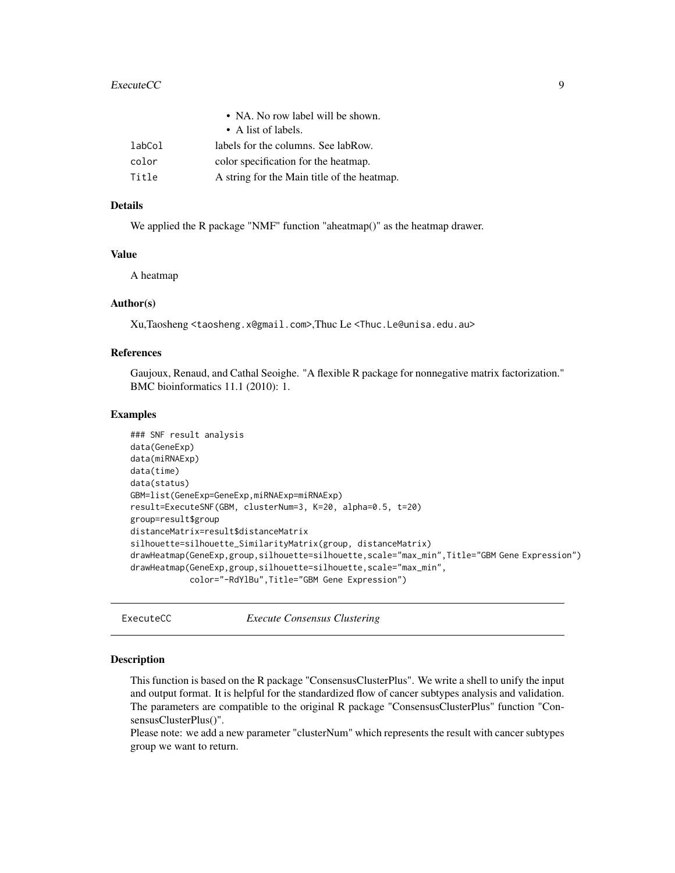#### <span id="page-8-0"></span>ExecuteCC 9

|        | • NA. No row label will be shown.           |
|--------|---------------------------------------------|
|        | $\bullet$ A list of labels.                 |
| labCol | labels for the columns. See labRow.         |
| color  | color specification for the heatmap.        |
| Title  | A string for the Main title of the heatmap. |
|        |                                             |

### Details

We applied the R package "NMF" function "aheatmap()" as the heatmap drawer.

### Value

A heatmap

#### Author(s)

Xu,Taosheng <taosheng.x@gmail.com>,Thuc Le <Thuc.Le@unisa.edu.au>

### References

Gaujoux, Renaud, and Cathal Seoighe. "A flexible R package for nonnegative matrix factorization." BMC bioinformatics 11.1 (2010): 1.

#### Examples

```
### SNF result analysis
data(GeneExp)
data(miRNAExp)
data(time)
data(status)
GBM=list(GeneExp=GeneExp,miRNAExp=miRNAExp)
result=ExecuteSNF(GBM, clusterNum=3, K=20, alpha=0.5, t=20)
group=result$group
distanceMatrix=result$distanceMatrix
silhouette=silhouette_SimilarityMatrix(group, distanceMatrix)
drawHeatmap(GeneExp,group,silhouette=silhouette,scale="max_min",Title="GBM Gene Expression")
drawHeatmap(GeneExp,group,silhouette=silhouette,scale="max_min",
            color="-RdYlBu",Title="GBM Gene Expression")
```
<span id="page-8-1"></span>ExecuteCC *Execute Consensus Clustering*

#### **Description**

This function is based on the R package "ConsensusClusterPlus". We write a shell to unify the input and output format. It is helpful for the standardized flow of cancer subtypes analysis and validation. The parameters are compatible to the original R package "ConsensusClusterPlus" function "ConsensusClusterPlus()".

Please note: we add a new parameter "clusterNum" which represents the result with cancer subtypes group we want to return.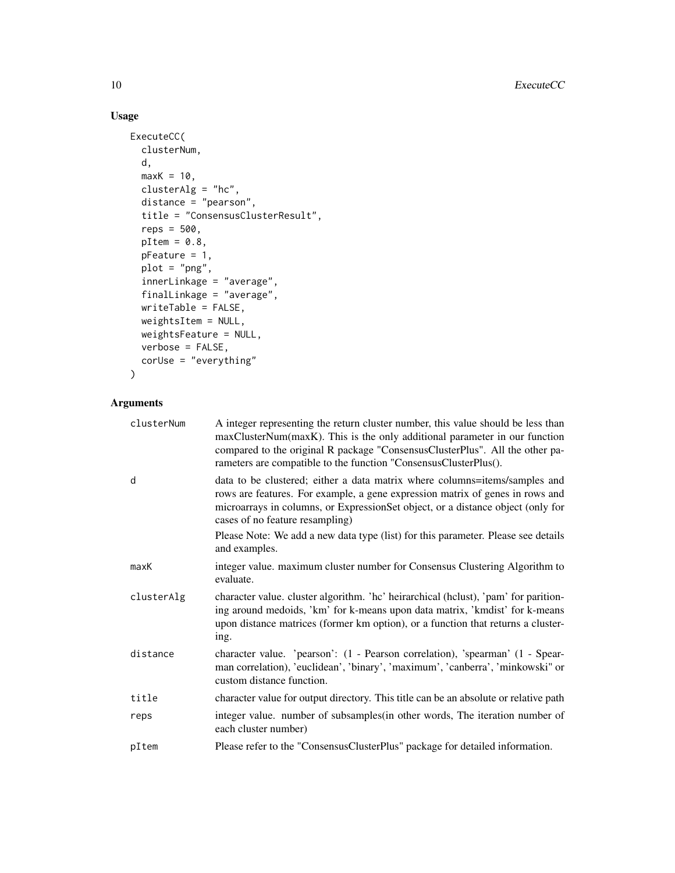### Usage

```
ExecuteCC(
 clusterNum,
 d,
 maxK = 10,
 clusterAlg = "hc",
 distance = "pearson",
  title = "ConsensusClusterResult",
  reps = 500,
 pItem = 0.8,
 pFeature = 1,
 plot = "png",
  innerLinkage = "average",
  finalLinkage = "average",
 writeTable = FALSE,
 weightsItem = NULL,
 weightsFeature = NULL,
 verbose = FALSE,
 corUse = "everything"
\mathcal{L}
```

| clusterNum | A integer representing the return cluster number, this value should be less than<br>maxClusterNum(maxK). This is the only additional parameter in our function<br>compared to the original R package "ConsensusClusterPlus". All the other pa-<br>rameters are compatible to the function "ConsensusClusterPlus(). |
|------------|--------------------------------------------------------------------------------------------------------------------------------------------------------------------------------------------------------------------------------------------------------------------------------------------------------------------|
| d          | data to be clustered; either a data matrix where columns=items/samples and<br>rows are features. For example, a gene expression matrix of genes in rows and<br>microarrays in columns, or ExpressionSet object, or a distance object (only for<br>cases of no feature resampling)                                  |
|            | Please Note: We add a new data type (list) for this parameter. Please see details<br>and examples.                                                                                                                                                                                                                 |
| maxK       | integer value. maximum cluster number for Consensus Clustering Algorithm to<br>evaluate.                                                                                                                                                                                                                           |
| clusterAlg | character value. cluster algorithm. 'hc' heirarchical (hclust), 'pam' for parition-<br>ing around medoids, 'km' for k-means upon data matrix, 'kmdist' for k-means<br>upon distance matrices (former km option), or a function that returns a cluster-<br>ing.                                                     |
| distance   | character value. 'pearson': (1 - Pearson correlation), 'spearman' (1 - Spear-<br>man correlation), 'euclidean', 'binary', 'maximum', 'canberra', 'minkowski" or<br>custom distance function.                                                                                                                       |
| title      | character value for output directory. This title can be an absolute or relative path                                                                                                                                                                                                                               |
| reps       | integer value. number of subsamples (in other words, The iteration number of<br>each cluster number)                                                                                                                                                                                                               |
| pItem      | Please refer to the "ConsensusClusterPlus" package for detailed information.                                                                                                                                                                                                                                       |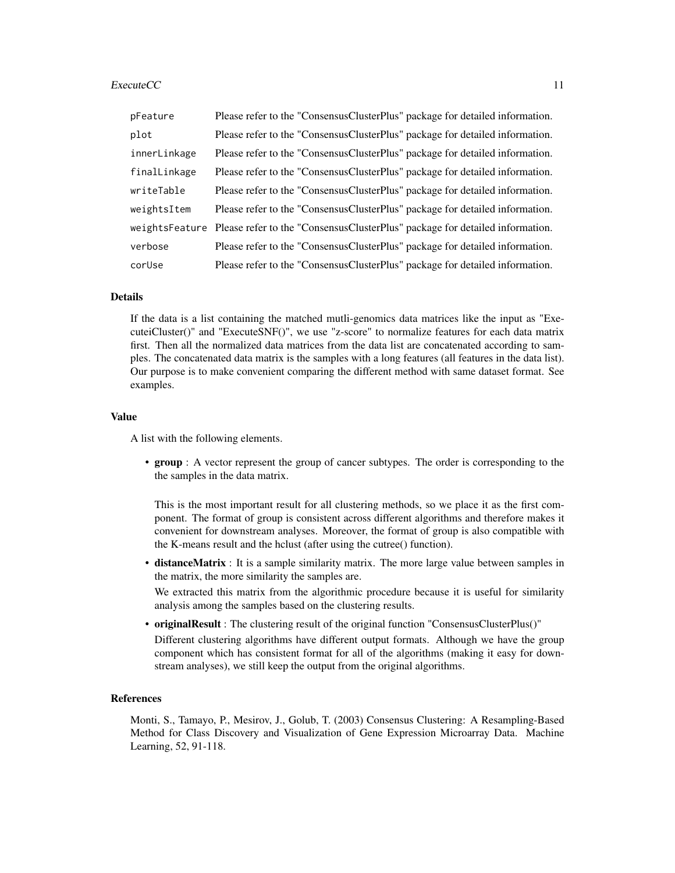#### $ExecuteCC$  11

| pFeature     | Please refer to the "ConsensusClusterPlus" package for detailed information.                   |
|--------------|------------------------------------------------------------------------------------------------|
| plot         | Please refer to the "ConsensusClusterPlus" package for detailed information.                   |
| innerLinkage | Please refer to the "ConsensusClusterPlus" package for detailed information.                   |
| finalLinkage | Please refer to the "ConsensusClusterPlus" package for detailed information.                   |
| writeTable   | Please refer to the "ConsensusClusterPlus" package for detailed information.                   |
| weightsItem  | Please refer to the "ConsensusClusterPlus" package for detailed information.                   |
|              | weights Feature Please refer to the "Consensus Cluster Plus" package for detailed information. |
| verbose      | Please refer to the "ConsensusClusterPlus" package for detailed information.                   |
| corUse       | Please refer to the "ConsensusClusterPlus" package for detailed information.                   |

### Details

If the data is a list containing the matched mutli-genomics data matrices like the input as "ExecuteiCluster()" and "ExecuteSNF()", we use "z-score" to normalize features for each data matrix first. Then all the normalized data matrices from the data list are concatenated according to samples. The concatenated data matrix is the samples with a long features (all features in the data list). Our purpose is to make convenient comparing the different method with same dataset format. See examples.

#### Value

A list with the following elements.

• group : A vector represent the group of cancer subtypes. The order is corresponding to the the samples in the data matrix.

This is the most important result for all clustering methods, so we place it as the first component. The format of group is consistent across different algorithms and therefore makes it convenient for downstream analyses. Moreover, the format of group is also compatible with the K-means result and the hclust (after using the cutree() function).

• distanceMatrix : It is a sample similarity matrix. The more large value between samples in the matrix, the more similarity the samples are.

We extracted this matrix from the algorithmic procedure because it is useful for similarity analysis among the samples based on the clustering results.

• originalResult : The clustering result of the original function "ConsensusClusterPlus()" Different clustering algorithms have different output formats. Although we have the group component which has consistent format for all of the algorithms (making it easy for downstream analyses), we still keep the output from the original algorithms.

#### References

Monti, S., Tamayo, P., Mesirov, J., Golub, T. (2003) Consensus Clustering: A Resampling-Based Method for Class Discovery and Visualization of Gene Expression Microarray Data. Machine Learning, 52, 91-118.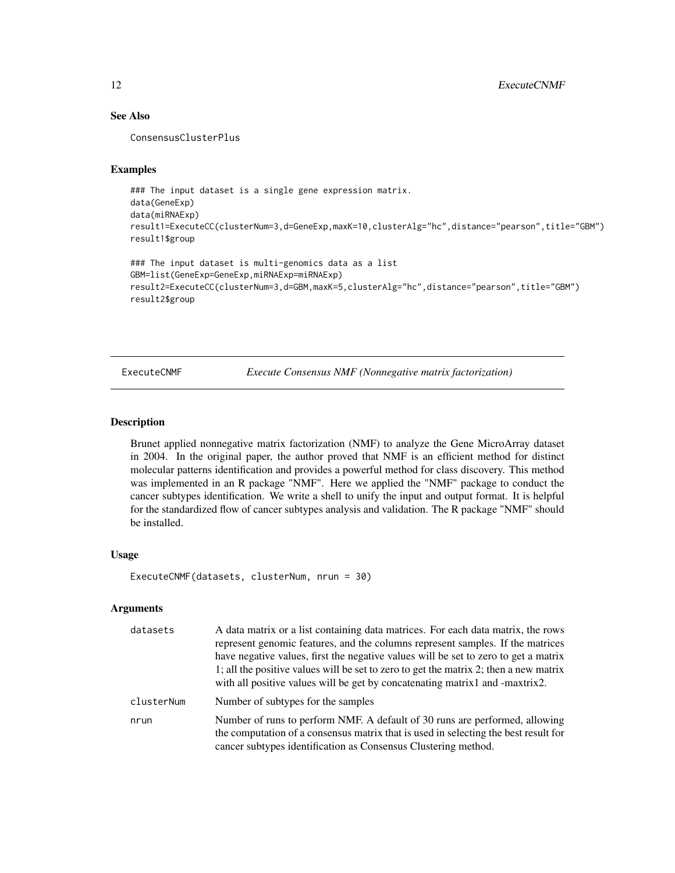### See Also

ConsensusClusterPlus

### Examples

```
### The input dataset is a single gene expression matrix.
data(GeneExp)
data(miRNAExp)
result1=ExecuteCC(clusterNum=3,d=GeneExp,maxK=10,clusterAlg="hc",distance="pearson",title="GBM")
result1$group
```

```
### The input dataset is multi-genomics data as a list
GBM=list(GeneExp=GeneExp,miRNAExp=miRNAExp)
result2=ExecuteCC(clusterNum=3,d=GBM,maxK=5,clusterAlg="hc",distance="pearson",title="GBM")
result2$group
```
ExecuteCNMF *Execute Consensus NMF (Nonnegative matrix factorization)*

#### Description

Brunet applied nonnegative matrix factorization (NMF) to analyze the Gene MicroArray dataset in 2004. In the original paper, the author proved that NMF is an efficient method for distinct molecular patterns identification and provides a powerful method for class discovery. This method was implemented in an R package "NMF". Here we applied the "NMF" package to conduct the cancer subtypes identification. We write a shell to unify the input and output format. It is helpful for the standardized flow of cancer subtypes analysis and validation. The R package "NMF" should be installed.

#### Usage

ExecuteCNMF(datasets, clusterNum, nrun = 30)

| datasets   | A data matrix or a list containing data matrices. For each data matrix, the rows<br>represent genomic features, and the columns represent samples. If the matrices<br>have negative values, first the negative values will be set to zero to get a matrix<br>1; all the positive values will be set to zero to get the matrix 2; then a new matrix<br>with all positive values will be get by concatenating matrix 1 and -maxtrix 2. |
|------------|--------------------------------------------------------------------------------------------------------------------------------------------------------------------------------------------------------------------------------------------------------------------------------------------------------------------------------------------------------------------------------------------------------------------------------------|
| clusterNum | Number of subtypes for the samples                                                                                                                                                                                                                                                                                                                                                                                                   |
| nrun       | Number of runs to perform NMF. A default of 30 runs are performed, allowing<br>the computation of a consensus matrix that is used in selecting the best result for<br>cancer subtypes identification as Consensus Clustering method.                                                                                                                                                                                                 |

<span id="page-11-0"></span>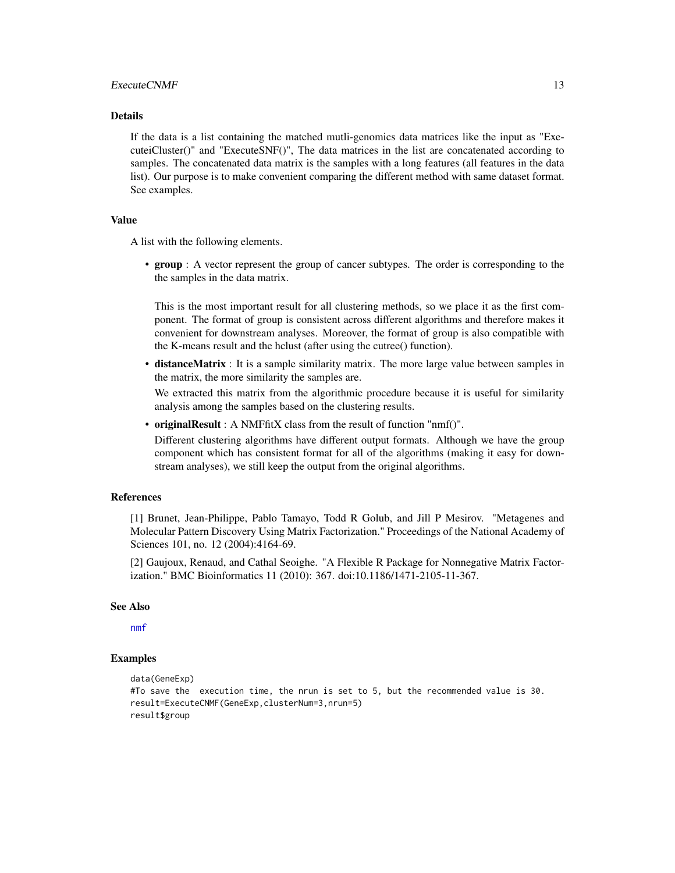#### <span id="page-12-0"></span>ExecuteCNMF 13

#### Details

If the data is a list containing the matched mutli-genomics data matrices like the input as "ExecuteiCluster()" and "ExecuteSNF()", The data matrices in the list are concatenated according to samples. The concatenated data matrix is the samples with a long features (all features in the data list). Our purpose is to make convenient comparing the different method with same dataset format. See examples.

#### Value

A list with the following elements.

• group : A vector represent the group of cancer subtypes. The order is corresponding to the the samples in the data matrix.

This is the most important result for all clustering methods, so we place it as the first component. The format of group is consistent across different algorithms and therefore makes it convenient for downstream analyses. Moreover, the format of group is also compatible with the K-means result and the hclust (after using the cutree() function).

• distanceMatrix : It is a sample similarity matrix. The more large value between samples in the matrix, the more similarity the samples are.

We extracted this matrix from the algorithmic procedure because it is useful for similarity analysis among the samples based on the clustering results.

• originalResult : A NMFfitX class from the result of function "nmf()".

Different clustering algorithms have different output formats. Although we have the group component which has consistent format for all of the algorithms (making it easy for downstream analyses), we still keep the output from the original algorithms.

### References

[1] Brunet, Jean-Philippe, Pablo Tamayo, Todd R Golub, and Jill P Mesirov. "Metagenes and Molecular Pattern Discovery Using Matrix Factorization." Proceedings of the National Academy of Sciences 101, no. 12 (2004):4164-69.

[2] Gaujoux, Renaud, and Cathal Seoighe. "A Flexible R Package for Nonnegative Matrix Factorization." BMC Bioinformatics 11 (2010): 367. doi:10.1186/1471-2105-11-367.

#### See Also

[nmf](#page-0-0)

```
data(GeneExp)
#To save the execution time, the nrun is set to 5, but the recommended value is 30.
result=ExecuteCNMF(GeneExp,clusterNum=3,nrun=5)
result$group
```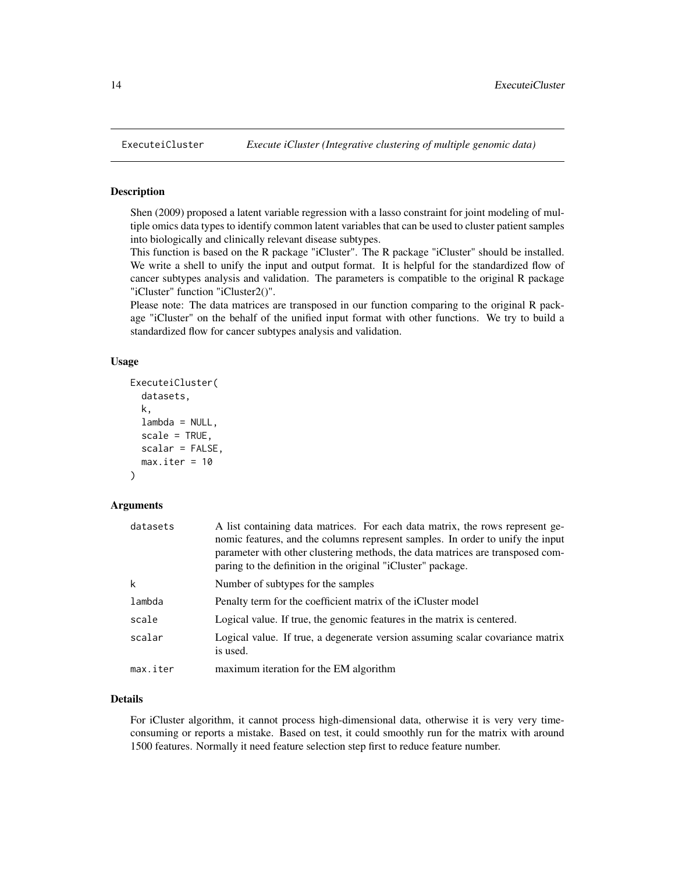Shen (2009) proposed a latent variable regression with a lasso constraint for joint modeling of multiple omics data types to identify common latent variables that can be used to cluster patient samples into biologically and clinically relevant disease subtypes.

This function is based on the R package "iCluster". The R package "iCluster" should be installed. We write a shell to unify the input and output format. It is helpful for the standardized flow of cancer subtypes analysis and validation. The parameters is compatible to the original R package "iCluster" function "iCluster2()".

Please note: The data matrices are transposed in our function comparing to the original R package "iCluster" on the behalf of the unified input format with other functions. We try to build a standardized flow for cancer subtypes analysis and validation.

#### Usage

```
ExecuteiCluster(
  datasets,
  k,
  lambda = NULL,scale = TRUE,
  scalar = FALSE,
  max.iter = 10
)
```
#### **Arguments**

| datasets | A list containing data matrices. For each data matrix, the rows represent ge-<br>nomic features, and the columns represent samples. In order to unify the input<br>parameter with other clustering methods, the data matrices are transposed com-<br>paring to the definition in the original "iCluster" package. |  |
|----------|-------------------------------------------------------------------------------------------------------------------------------------------------------------------------------------------------------------------------------------------------------------------------------------------------------------------|--|
| k        | Number of subtypes for the samples                                                                                                                                                                                                                                                                                |  |
| lambda   | Penalty term for the coefficient matrix of the iCluster model                                                                                                                                                                                                                                                     |  |
| scale    | Logical value. If true, the genomic features in the matrix is centered.                                                                                                                                                                                                                                           |  |
| scalar   | Logical value. If true, a degenerate version assuming scalar covariance matrix<br>is used.                                                                                                                                                                                                                        |  |
| max.iter | maximum iteration for the EM algorithm                                                                                                                                                                                                                                                                            |  |

### Details

For iCluster algorithm, it cannot process high-dimensional data, otherwise it is very very timeconsuming or reports a mistake. Based on test, it could smoothly run for the matrix with around 1500 features. Normally it need feature selection step first to reduce feature number.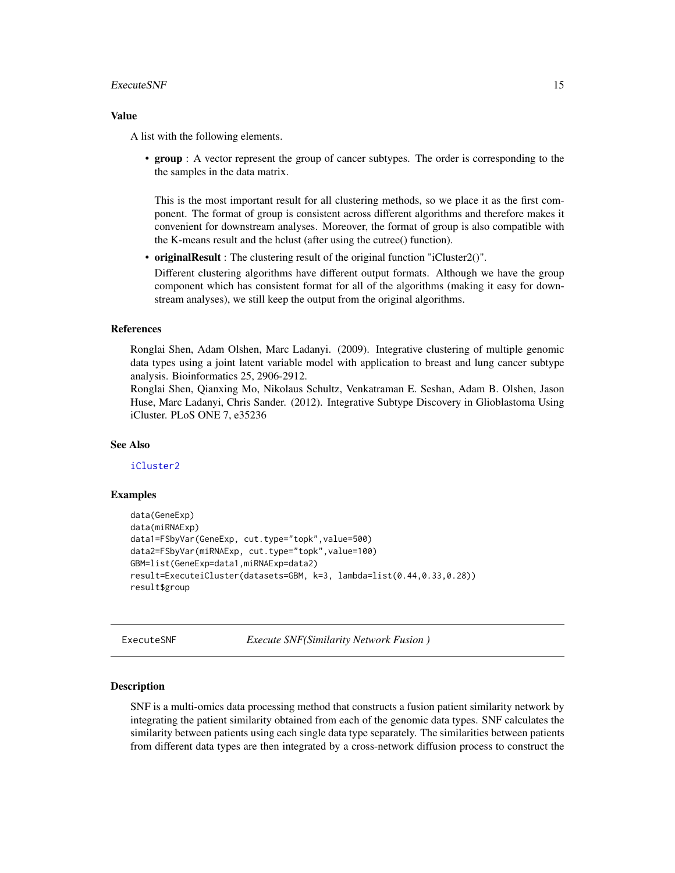#### <span id="page-14-0"></span>ExecuteSNF 15

#### Value

A list with the following elements.

• group : A vector represent the group of cancer subtypes. The order is corresponding to the the samples in the data matrix.

This is the most important result for all clustering methods, so we place it as the first component. The format of group is consistent across different algorithms and therefore makes it convenient for downstream analyses. Moreover, the format of group is also compatible with the K-means result and the hclust (after using the cutree() function).

• originalResult : The clustering result of the original function "iCluster2()".

Different clustering algorithms have different output formats. Although we have the group component which has consistent format for all of the algorithms (making it easy for downstream analyses), we still keep the output from the original algorithms.

#### References

Ronglai Shen, Adam Olshen, Marc Ladanyi. (2009). Integrative clustering of multiple genomic data types using a joint latent variable model with application to breast and lung cancer subtype analysis. Bioinformatics 25, 2906-2912.

Ronglai Shen, Qianxing Mo, Nikolaus Schultz, Venkatraman E. Seshan, Adam B. Olshen, Jason Huse, Marc Ladanyi, Chris Sander. (2012). Integrative Subtype Discovery in Glioblastoma Using iCluster. PLoS ONE 7, e35236

#### See Also

[iCluster2](#page-0-0)

### Examples

```
data(GeneExp)
data(miRNAExp)
data1=FSbyVar(GeneExp, cut.type="topk",value=500)
data2=FSbyVar(miRNAExp, cut.type="topk",value=100)
GBM=list(GeneExp=data1,miRNAExp=data2)
result=ExecuteiCluster(datasets=GBM, k=3, lambda=list(0.44,0.33,0.28))
result$group
```
<span id="page-14-1"></span>ExecuteSNF *Execute SNF(Similarity Network Fusion )*

#### **Description**

SNF is a multi-omics data processing method that constructs a fusion patient similarity network by integrating the patient similarity obtained from each of the genomic data types. SNF calculates the similarity between patients using each single data type separately. The similarities between patients from different data types are then integrated by a cross-network diffusion process to construct the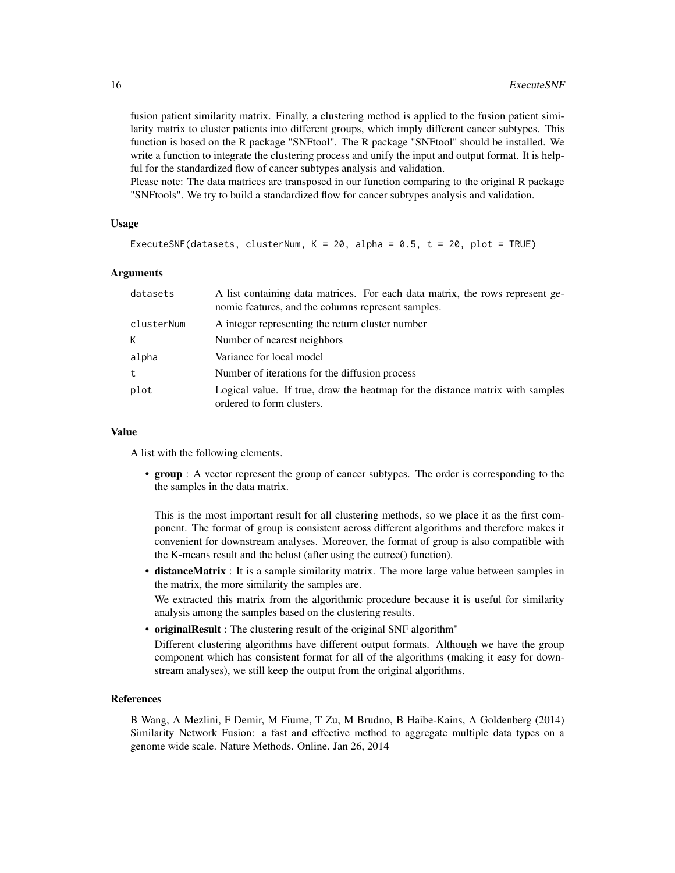fusion patient similarity matrix. Finally, a clustering method is applied to the fusion patient similarity matrix to cluster patients into different groups, which imply different cancer subtypes. This function is based on the R package "SNFtool". The R package "SNFtool" should be installed. We write a function to integrate the clustering process and unify the input and output format. It is helpful for the standardized flow of cancer subtypes analysis and validation.

Please note: The data matrices are transposed in our function comparing to the original R package "SNFtools". We try to build a standardized flow for cancer subtypes analysis and validation.

### Usage

```
ExecuteSNF(datasets, clusterNum, K = 20, alpha = 0.5, t = 20, plot = TRUE)
```
#### Arguments

| datasets   | A list containing data matrices. For each data matrix, the rows represent ge-<br>nomic features, and the columns represent samples. |
|------------|-------------------------------------------------------------------------------------------------------------------------------------|
| clusterNum | A integer representing the return cluster number                                                                                    |
| K          | Number of nearest neighbors                                                                                                         |
| alpha      | Variance for local model                                                                                                            |
| t          | Number of iterations for the diffusion process                                                                                      |
| plot       | Logical value. If true, draw the heatmap for the distance matrix with samples<br>ordered to form clusters.                          |

#### Value

A list with the following elements.

• group : A vector represent the group of cancer subtypes. The order is corresponding to the the samples in the data matrix.

This is the most important result for all clustering methods, so we place it as the first component. The format of group is consistent across different algorithms and therefore makes it convenient for downstream analyses. Moreover, the format of group is also compatible with the K-means result and the hclust (after using the cutree() function).

• distanceMatrix : It is a sample similarity matrix. The more large value between samples in the matrix, the more similarity the samples are.

We extracted this matrix from the algorithmic procedure because it is useful for similarity analysis among the samples based on the clustering results.

• originalResult : The clustering result of the original SNF algorithm"

Different clustering algorithms have different output formats. Although we have the group component which has consistent format for all of the algorithms (making it easy for downstream analyses), we still keep the output from the original algorithms.

### References

B Wang, A Mezlini, F Demir, M Fiume, T Zu, M Brudno, B Haibe-Kains, A Goldenberg (2014) Similarity Network Fusion: a fast and effective method to aggregate multiple data types on a genome wide scale. Nature Methods. Online. Jan 26, 2014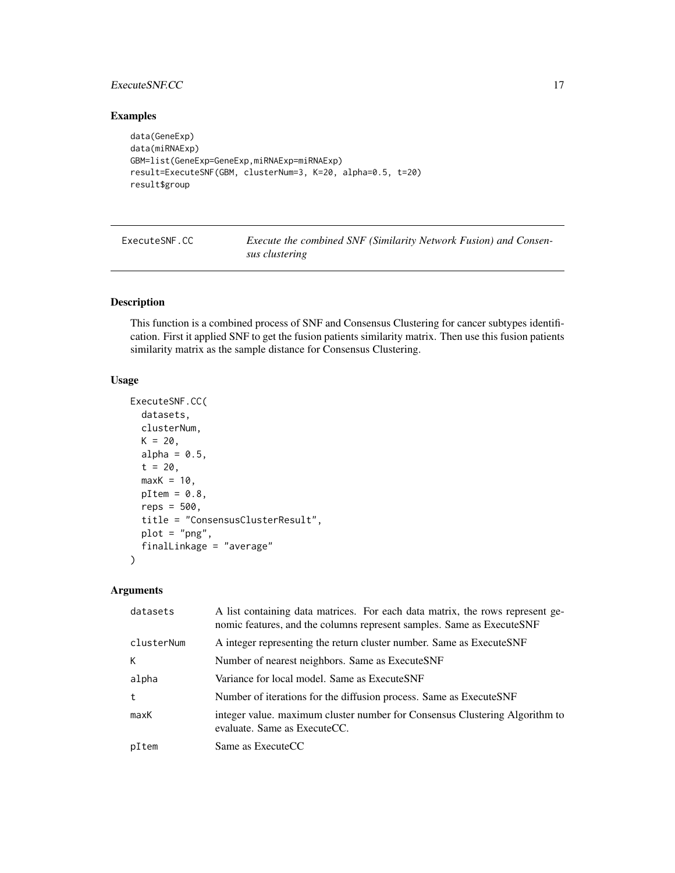### <span id="page-16-0"></span>ExecuteSNF.CC 17

### Examples

```
data(GeneExp)
data(miRNAExp)
GBM=list(GeneExp=GeneExp,miRNAExp=miRNAExp)
result=ExecuteSNF(GBM, clusterNum=3, K=20, alpha=0.5, t=20)
result$group
```

| ExecuteSNF.CC | Execute the combined SNF (Similarity Network Fusion) and Consen- |
|---------------|------------------------------------------------------------------|
|               | sus clustering                                                   |

### Description

This function is a combined process of SNF and Consensus Clustering for cancer subtypes identification. First it applied SNF to get the fusion patients similarity matrix. Then use this fusion patients similarity matrix as the sample distance for Consensus Clustering.

### Usage

```
ExecuteSNF.CC(
  datasets,
  clusterNum,
 K = 20,
  alpha = 0.5,
  t = 20,
  maxK = 10,
 pItem = 0.8,
  reps = 500,
  title = "ConsensusClusterResult",
 plot = "png",
  finalLinkage = "average"
)
```

| datasets   | A list containing data matrices. For each data matrix, the rows represent ge-<br>nomic features, and the columns represent samples. Same as ExecuteSNF |
|------------|--------------------------------------------------------------------------------------------------------------------------------------------------------|
| clusterNum | A integer representing the return cluster number. Same as ExecuteSNF                                                                                   |
| К          | Number of nearest neighbors. Same as ExecuteSNF                                                                                                        |
| alpha      | Variance for local model. Same as ExecuteSNF                                                                                                           |
| t          | Number of iterations for the diffusion process. Same as ExecuteSNF                                                                                     |
| maxK       | integer value. maximum cluster number for Consensus Clustering Algorithm to<br>evaluate. Same as ExecuteCC.                                            |
| pItem      | Same as ExecuteCC                                                                                                                                      |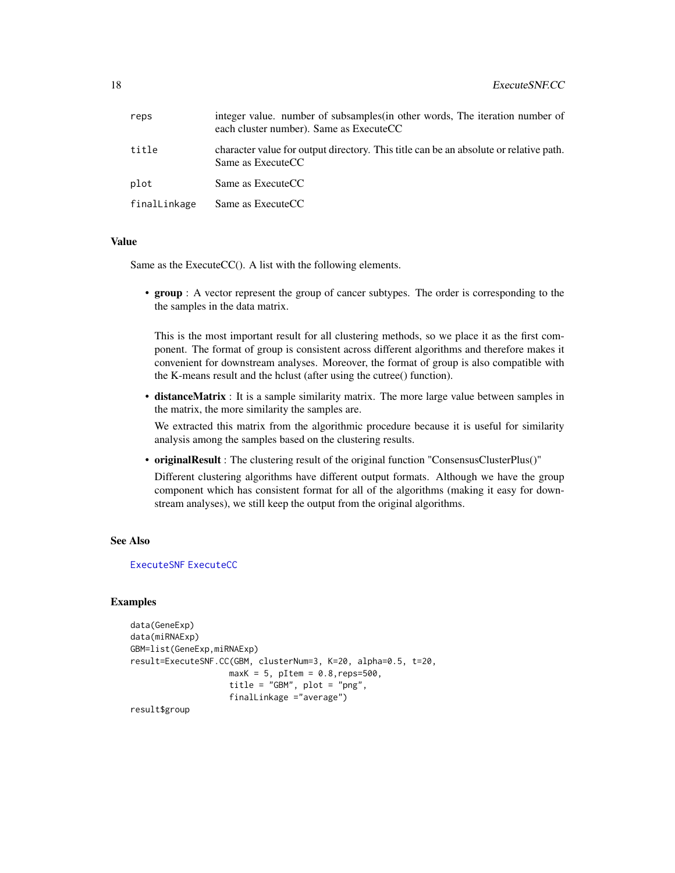<span id="page-17-0"></span>

| reps         | integer value, number of subsamples in other words. The iteration number of<br>each cluster number). Same as ExecuteCC |
|--------------|------------------------------------------------------------------------------------------------------------------------|
| title        | character value for output directory. This title can be an absolute or relative path.<br>Same as ExecuteCC             |
| plot         | Same as ExecuteCC                                                                                                      |
| finalLinkage | Same as ExecuteCC                                                                                                      |

#### Value

Same as the ExecuteCC(). A list with the following elements.

• group : A vector represent the group of cancer subtypes. The order is corresponding to the the samples in the data matrix.

This is the most important result for all clustering methods, so we place it as the first component. The format of group is consistent across different algorithms and therefore makes it convenient for downstream analyses. Moreover, the format of group is also compatible with the K-means result and the hclust (after using the cutree() function).

• distanceMatrix : It is a sample similarity matrix. The more large value between samples in the matrix, the more similarity the samples are.

We extracted this matrix from the algorithmic procedure because it is useful for similarity analysis among the samples based on the clustering results.

• originalResult : The clustering result of the original function "ConsensusClusterPlus()"

Different clustering algorithms have different output formats. Although we have the group component which has consistent format for all of the algorithms (making it easy for downstream analyses), we still keep the output from the original algorithms.

### See Also

#### [ExecuteSNF](#page-14-1) [ExecuteCC](#page-8-1)

#### Examples

```
data(GeneExp)
data(miRNAExp)
GBM=list(GeneExp,miRNAExp)
result=ExecuteSNF.CC(GBM, clusterNum=3, K=20, alpha=0.5, t=20,
                    maxK = 5, pItem = 0.8, reps=500,
                    title = "GBM", plot = "png",
                    finalLinkage ="average")
```
result\$group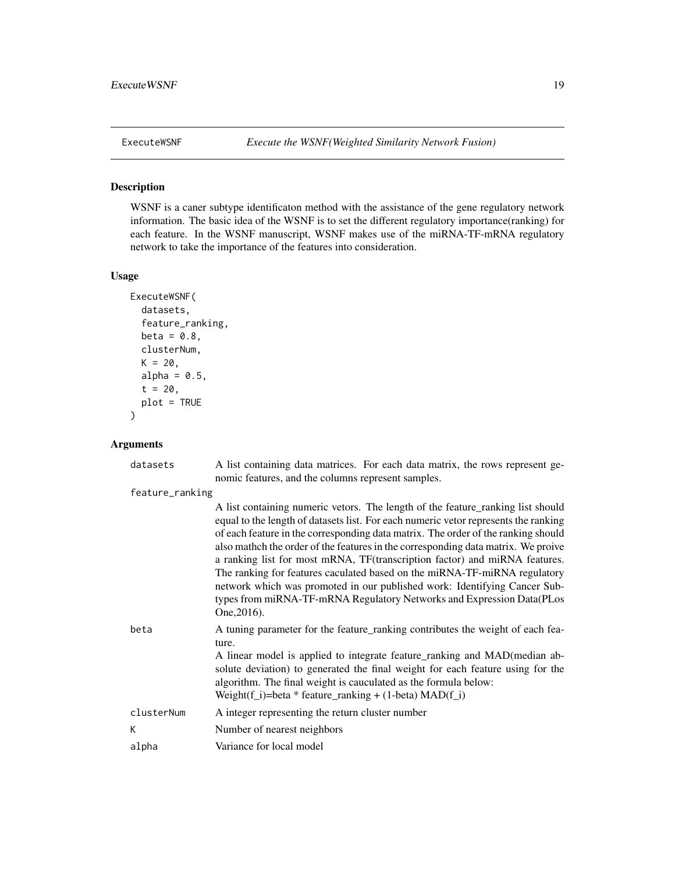<span id="page-18-0"></span>

WSNF is a caner subtype identificaton method with the assistance of the gene regulatory network information. The basic idea of the WSNF is to set the different regulatory importance(ranking) for each feature. In the WSNF manuscript, WSNF makes use of the miRNA-TF-mRNA regulatory network to take the importance of the features into consideration.

#### Usage

```
ExecuteWSNF(
  datasets,
  feature_ranking,
  beta = 0.8,
  clusterNum,
  K = 20,
  alpha = 0.5,
  t = 20,
  plot = TRUE
\mathcal{L}
```

| datasets        | A list containing data matrices. For each data matrix, the rows represent ge-<br>nomic features, and the columns represent samples.                                                                                                                                                                                                                                                                                                                                                                                                                                                                                                                                              |
|-----------------|----------------------------------------------------------------------------------------------------------------------------------------------------------------------------------------------------------------------------------------------------------------------------------------------------------------------------------------------------------------------------------------------------------------------------------------------------------------------------------------------------------------------------------------------------------------------------------------------------------------------------------------------------------------------------------|
| feature_ranking |                                                                                                                                                                                                                                                                                                                                                                                                                                                                                                                                                                                                                                                                                  |
|                 | A list containing numeric vetors. The length of the feature_ranking list should<br>equal to the length of datasets list. For each numeric vetor represents the ranking<br>of each feature in the corresponding data matrix. The order of the ranking should<br>also mathch the order of the features in the corresponding data matrix. We proive<br>a ranking list for most mRNA, TF(transcription factor) and miRNA features.<br>The ranking for features caculated based on the miRNA-TF-miRNA regulatory<br>network which was promoted in our published work: Identifying Cancer Sub-<br>types from miRNA-TF-mRNA Regulatory Networks and Expression Data(PLos<br>One, 2016). |
| beta            | A tuning parameter for the feature ranking contributes the weight of each fea-<br>ture.<br>A linear model is applied to integrate feature_ranking and MAD(median ab-<br>solute deviation) to generated the final weight for each feature using for the<br>algorithm. The final weight is cauculated as the formula below:                                                                                                                                                                                                                                                                                                                                                        |
|                 | Weight(f_i)=beta * feature_ranking + $(1$ -beta) MAD(f_i)                                                                                                                                                                                                                                                                                                                                                                                                                                                                                                                                                                                                                        |
| clusterNum      | A integer representing the return cluster number                                                                                                                                                                                                                                                                                                                                                                                                                                                                                                                                                                                                                                 |
| К               | Number of nearest neighbors                                                                                                                                                                                                                                                                                                                                                                                                                                                                                                                                                                                                                                                      |
| alpha           | Variance for local model                                                                                                                                                                                                                                                                                                                                                                                                                                                                                                                                                                                                                                                         |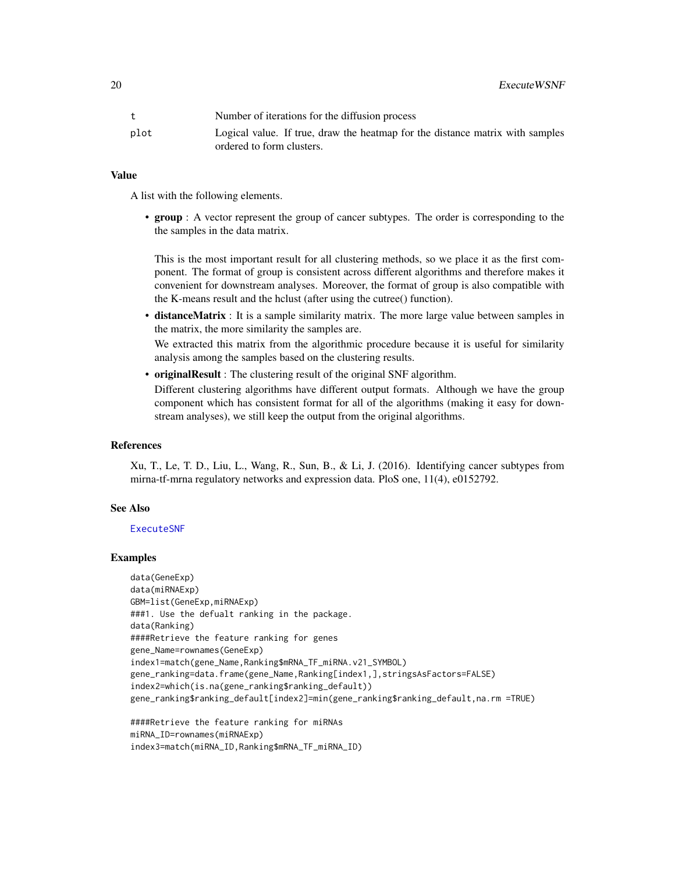<span id="page-19-0"></span>20 **ExecuteWSNF** 

|      | Number of iterations for the diffusion process                                                             |
|------|------------------------------------------------------------------------------------------------------------|
| plot | Logical value. If true, draw the heatmap for the distance matrix with samples<br>ordered to form clusters. |

### Value

A list with the following elements.

• group : A vector represent the group of cancer subtypes. The order is corresponding to the the samples in the data matrix.

This is the most important result for all clustering methods, so we place it as the first component. The format of group is consistent across different algorithms and therefore makes it convenient for downstream analyses. Moreover, the format of group is also compatible with the K-means result and the hclust (after using the cutree() function).

• distanceMatrix : It is a sample similarity matrix. The more large value between samples in the matrix, the more similarity the samples are.

We extracted this matrix from the algorithmic procedure because it is useful for similarity analysis among the samples based on the clustering results.

• originalResult : The clustering result of the original SNF algorithm.

Different clustering algorithms have different output formats. Although we have the group component which has consistent format for all of the algorithms (making it easy for downstream analyses), we still keep the output from the original algorithms.

#### References

Xu, T., Le, T. D., Liu, L., Wang, R., Sun, B., & Li, J. (2016). Identifying cancer subtypes from mirna-tf-mrna regulatory networks and expression data. PloS one, 11(4), e0152792.

#### See Also

#### [ExecuteSNF](#page-14-1)

#### Examples

data(GeneExp) data(miRNAExp) GBM=list(GeneExp,miRNAExp) ###1. Use the defualt ranking in the package. data(Ranking) ####Retrieve the feature ranking for genes gene\_Name=rownames(GeneExp) index1=match(gene\_Name,Ranking\$mRNA\_TF\_miRNA.v21\_SYMBOL) gene\_ranking=data.frame(gene\_Name,Ranking[index1,],stringsAsFactors=FALSE) index2=which(is.na(gene\_ranking\$ranking\_default)) gene\_ranking\$ranking\_default[index2]=min(gene\_ranking\$ranking\_default,na.rm =TRUE)

####Retrieve the feature ranking for miRNAs miRNA\_ID=rownames(miRNAExp) index3=match(miRNA\_ID,Ranking\$mRNA\_TF\_miRNA\_ID)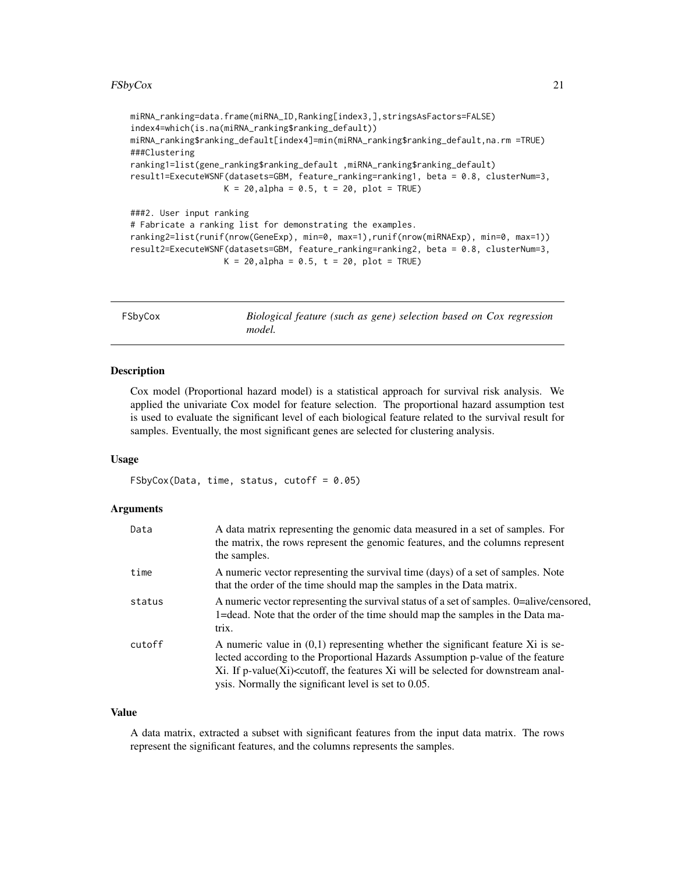```
miRNA_ranking=data.frame(miRNA_ID,Ranking[index3,],stringsAsFactors=FALSE)
index4=which(is.na(miRNA_ranking$ranking_default))
miRNA_ranking$ranking_default[index4]=min(miRNA_ranking$ranking_default,na.rm =TRUE)
###Clustering
ranking1=list(gene_ranking$ranking_default ,miRNA_ranking$ranking_default)
result1=ExecuteWSNF(datasets=GBM, feature_ranking=ranking1, beta = 0.8, clusterNum=3,
                  K = 20, alpha = 0.5, t = 20, plot = TRUE)
###2. User input ranking
# Fabricate a ranking list for demonstrating the examples.
ranking2=list(runif(nrow(GeneExp), min=0, max=1),runif(nrow(miRNAExp), min=0, max=1))
result2=ExecuteWSNF(datasets=GBM, feature_ranking=ranking2, beta = 0.8, clusterNum=3,
```

```
K = 20, alpha = 0.5, t = 20, plot = TRUE)
```

| FSbyCox | Biological feature (such as gene) selection based on Cox regression<br>model. |
|---------|-------------------------------------------------------------------------------|
|         |                                                                               |

Cox model (Proportional hazard model) is a statistical approach for survival risk analysis. We applied the univariate Cox model for feature selection. The proportional hazard assumption test is used to evaluate the significant level of each biological feature related to the survival result for samples. Eventually, the most significant genes are selected for clustering analysis.

#### Usage

 $F$ SbyCox(Data, time, status, cutoff = 0.05)

#### Arguments

| Data   | A data matrix representing the genomic data measured in a set of samples. For<br>the matrix, the rows represent the genomic features, and the columns represent<br>the samples.                                                                                                                                                                  |
|--------|--------------------------------------------------------------------------------------------------------------------------------------------------------------------------------------------------------------------------------------------------------------------------------------------------------------------------------------------------|
| time   | A numeric vector representing the survival time (days) of a set of samples. Note<br>that the order of the time should map the samples in the Data matrix.                                                                                                                                                                                        |
| status | A numeric vector representing the survival status of a set of samples. 0=alive/censored,<br>1=dead. Note that the order of the time should map the samples in the Data ma-<br>trix.                                                                                                                                                              |
| cutoff | A numeric value in $(0,1)$ representing whether the significant feature Xi is se-<br>lected according to the Proportional Hazards Assumption p-value of the feature<br>$Xi$ . If p-value $(Xi)$ <cutoff, <math="" features="" the="">Xi will be selected for downstream anal-<br/>ysis. Normally the significant level is set to 0.05.</cutoff,> |

#### Value

A data matrix, extracted a subset with significant features from the input data matrix. The rows represent the significant features, and the columns represents the samples.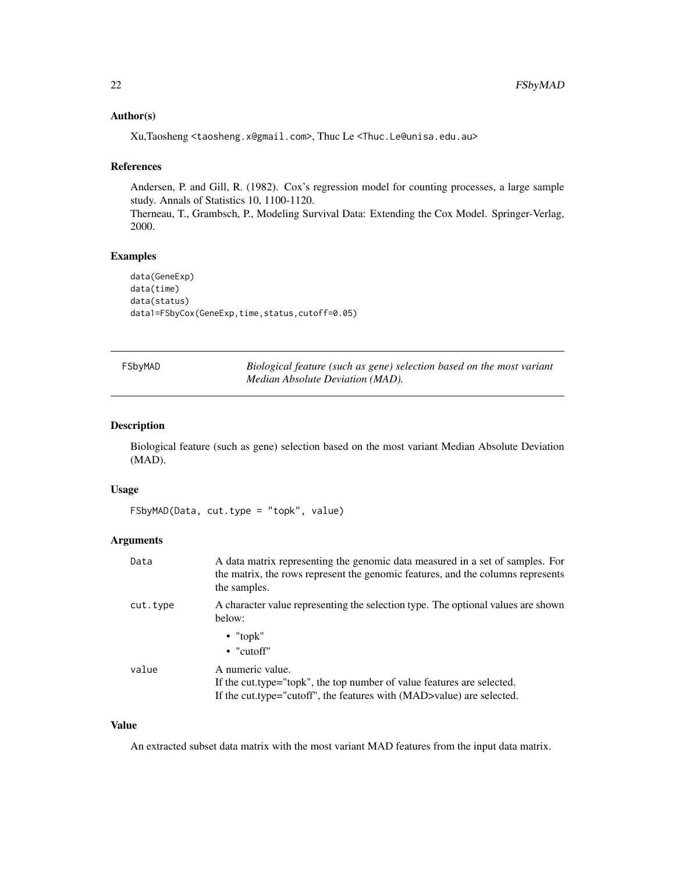### <span id="page-21-0"></span>Author(s)

Xu,Taosheng <taosheng.x@gmail.com>, Thuc Le <Thuc.Le@unisa.edu.au>

### References

Andersen, P. and Gill, R. (1982). Cox's regression model for counting processes, a large sample study. Annals of Statistics 10, 1100-1120.

Therneau, T., Grambsch, P., Modeling Survival Data: Extending the Cox Model. Springer-Verlag, 2000.

### Examples

```
data(GeneExp)
data(time)
data(status)
data1=FSbyCox(GeneExp,time,status,cutoff=0.05)
```

| FSbyMAD | Biological feature (such as gene) selection based on the most variant |
|---------|-----------------------------------------------------------------------|
|         | <i>Median Absolute Deviation (MAD).</i>                               |

### Description

Biological feature (such as gene) selection based on the most variant Median Absolute Deviation (MAD).

### Usage

```
FSbyMAD(Data, cut.type = "topk", value)
```
### Arguments

| Data     | A data matrix representing the genomic data measured in a set of samples. For<br>the matrix, the rows represent the genomic features, and the columns represents<br>the samples. |  |
|----------|----------------------------------------------------------------------------------------------------------------------------------------------------------------------------------|--|
| cut.type | A character value representing the selection type. The optional values are shown<br>below:                                                                                       |  |
|          | $\bullet$ "topk"<br>$\bullet$ "cutoff"                                                                                                                                           |  |
| value    | A numeric value.<br>If the cut.type="topk", the top number of value features are selected.<br>If the cut.type="cutoff", the features with (MAD>value) are selected.              |  |

### Value

An extracted subset data matrix with the most variant MAD features from the input data matrix.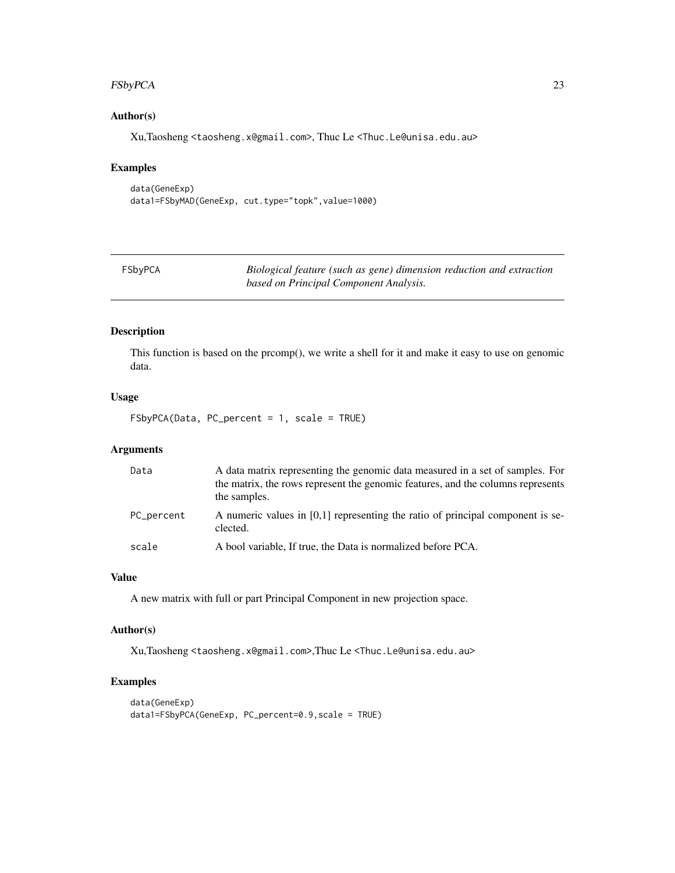#### <span id="page-22-0"></span>FSbyPCA 23

### Author(s)

Xu,Taosheng <taosheng.x@gmail.com>, Thuc Le <Thuc.Le@unisa.edu.au>

#### Examples

data(GeneExp) data1=FSbyMAD(GeneExp, cut.type="topk", value=1000)

| FSbyPCA | Biological feature (such as gene) dimension reduction and extraction |
|---------|----------------------------------------------------------------------|
|         | based on Principal Component Analysis.                               |

#### Description

This function is based on the prcomp(), we write a shell for it and make it easy to use on genomic data.

### Usage

FSbyPCA(Data, PC\_percent = 1, scale = TRUE)

#### Arguments

| Data       | A data matrix representing the genomic data measured in a set of samples. For<br>the matrix, the rows represent the genomic features, and the columns represents<br>the samples. |
|------------|----------------------------------------------------------------------------------------------------------------------------------------------------------------------------------|
| PC_percent | A numeric values in $[0,1]$ representing the ratio of principal component is se-<br>clected.                                                                                     |
| scale      | A bool variable, If true, the Data is normalized before PCA.                                                                                                                     |

### Value

A new matrix with full or part Principal Component in new projection space.

### Author(s)

Xu,Taosheng <taosheng.x@gmail.com>,Thuc Le <Thuc.Le@unisa.edu.au>

```
data(GeneExp)
data1=FSbyPCA(GeneExp, PC_percent=0.9,scale = TRUE)
```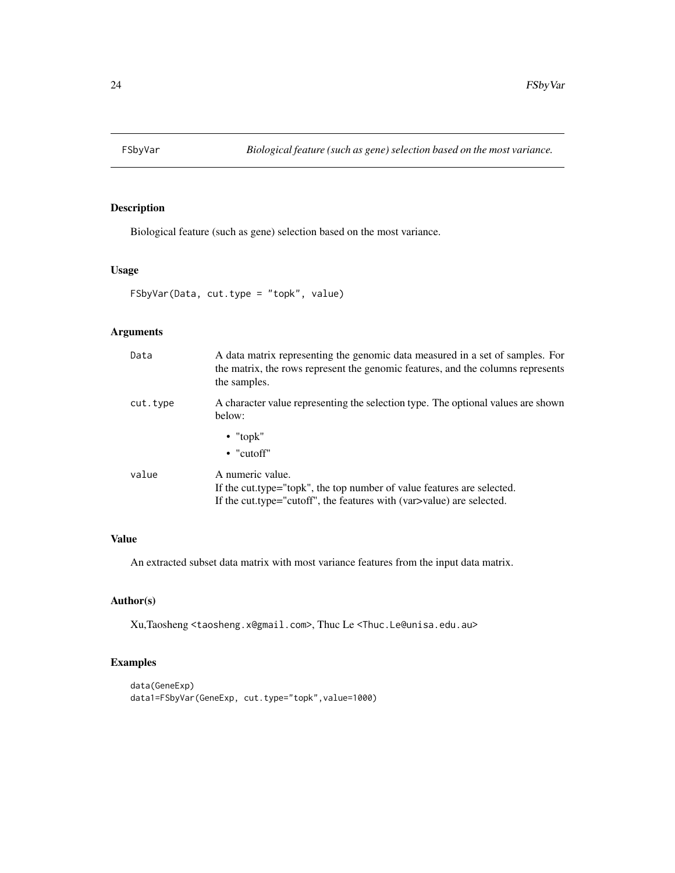<span id="page-23-0"></span>

Biological feature (such as gene) selection based on the most variance.

#### Usage

```
FSbyVar(Data, cut.type = "topk", value)
```
### Arguments

| Data     | A data matrix representing the genomic data measured in a set of samples. For<br>the matrix, the rows represent the genomic features, and the columns represents<br>the samples. |
|----------|----------------------------------------------------------------------------------------------------------------------------------------------------------------------------------|
| cut.type | A character value representing the selection type. The optional values are shown<br>below:                                                                                       |
|          | $\bullet$ "topk"<br>$\bullet$ "cutoff"                                                                                                                                           |
| value    | A numeric value.<br>If the cut.type="topk", the top number of value features are selected.<br>If the cut.type="cutoff", the features with (var >value) are selected.             |

### Value

An extracted subset data matrix with most variance features from the input data matrix.

### Author(s)

Xu,Taosheng <taosheng.x@gmail.com>, Thuc Le <Thuc.Le@unisa.edu.au>

```
data(GeneExp)
data1=FSbyVar(GeneExp, cut.type="topk",value=1000)
```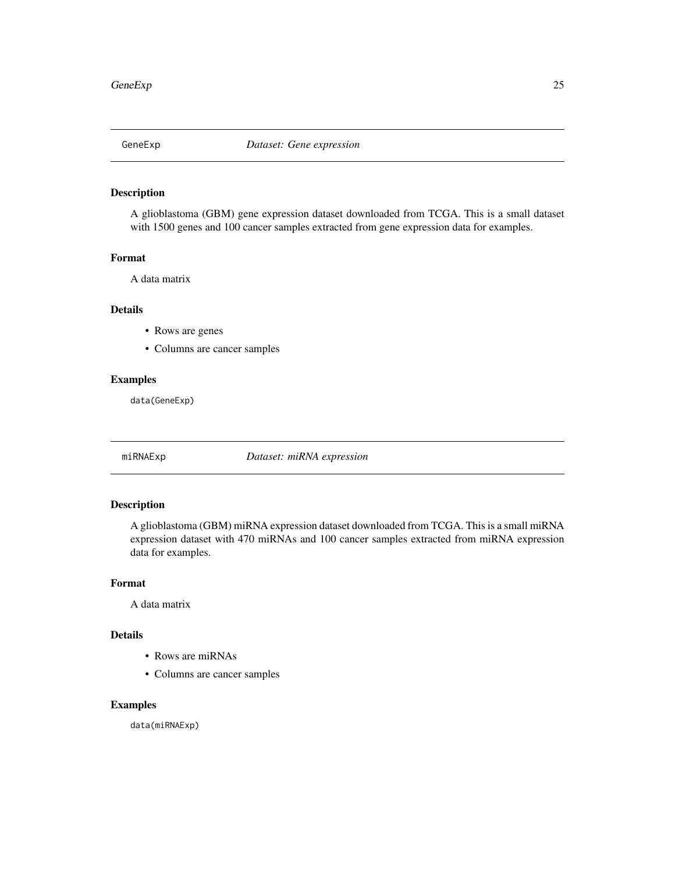<span id="page-24-0"></span>

A glioblastoma (GBM) gene expression dataset downloaded from TCGA. This is a small dataset with 1500 genes and 100 cancer samples extracted from gene expression data for examples.

#### Format

A data matrix

### Details

- Rows are genes
- Columns are cancer samples

### Examples

data(GeneExp)

miRNAExp *Dataset: miRNA expression*

### Description

A glioblastoma (GBM) miRNA expression dataset downloaded from TCGA. This is a small miRNA expression dataset with 470 miRNAs and 100 cancer samples extracted from miRNA expression data for examples.

### Format

A data matrix

#### Details

- Rows are miRNAs
- Columns are cancer samples

### Examples

data(miRNAExp)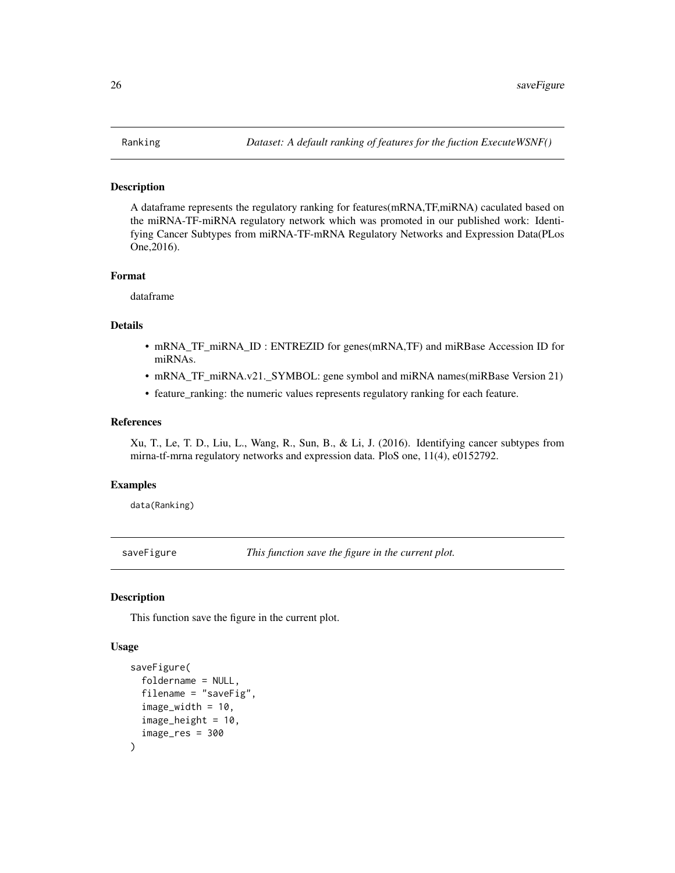<span id="page-25-0"></span>A dataframe represents the regulatory ranking for features(mRNA,TF,miRNA) caculated based on the miRNA-TF-miRNA regulatory network which was promoted in our published work: Identifying Cancer Subtypes from miRNA-TF-mRNA Regulatory Networks and Expression Data(PLos One,2016).

#### Format

dataframe

#### Details

- mRNA\_TF\_miRNA\_ID : ENTREZID for genes(mRNA,TF) and miRBase Accession ID for miRNAs.
- mRNA\_TF\_miRNA.v21.\_SYMBOL: gene symbol and miRNA names(miRBase Version 21)
- feature\_ranking: the numeric values represents regulatory ranking for each feature.

#### References

Xu, T., Le, T. D., Liu, L., Wang, R., Sun, B., & Li, J. (2016). Identifying cancer subtypes from mirna-tf-mrna regulatory networks and expression data. PloS one, 11(4), e0152792.

#### Examples

data(Ranking)

saveFigure *This function save the figure in the current plot.*

#### Description

This function save the figure in the current plot.

#### Usage

```
saveFigure(
  foldername = NULL,
  filename = "saveFig",
  image\_width = 10,image_height = 10,
  image_res = 300
)
```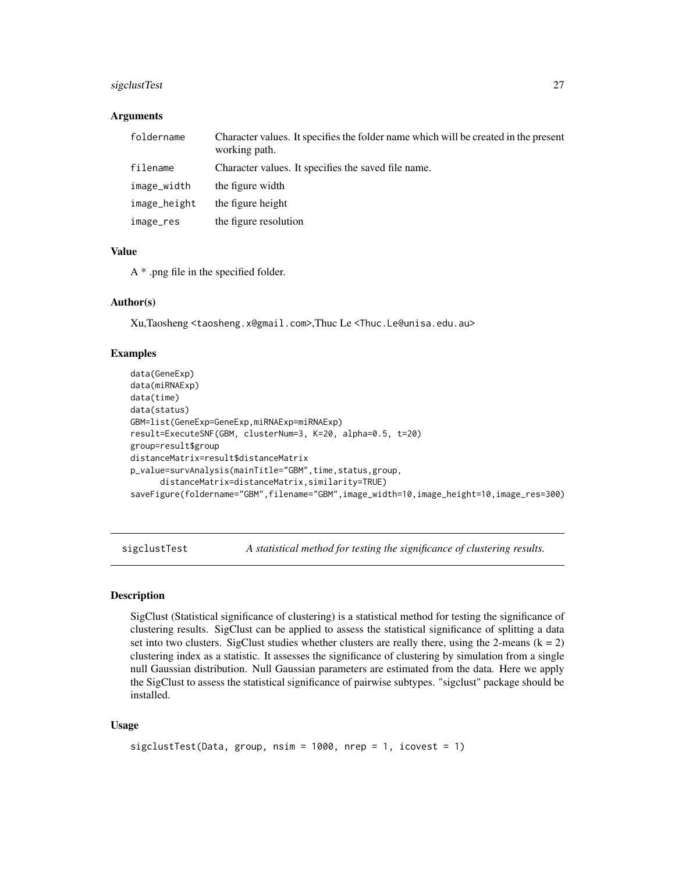### <span id="page-26-0"></span>sigclustTest 27

#### Arguments

| foldername   | Character values. It specifies the folder name which will be created in the present<br>working path. |
|--------------|------------------------------------------------------------------------------------------------------|
| filename     | Character values. It specifies the saved file name.                                                  |
| image_width  | the figure width                                                                                     |
| image_height | the figure height                                                                                    |
| image_res    | the figure resolution                                                                                |

### Value

A \* .png file in the specified folder.

#### Author(s)

Xu,Taosheng <taosheng.x@gmail.com>,Thuc Le <Thuc.Le@unisa.edu.au>

#### Examples

```
data(GeneExp)
data(miRNAExp)
data(time)
data(status)
GBM=list(GeneExp=GeneExp,miRNAExp=miRNAExp)
result=ExecuteSNF(GBM, clusterNum=3, K=20, alpha=0.5, t=20)
group=result$group
distanceMatrix=result$distanceMatrix
p_value=survAnalysis(mainTitle="GBM",time,status,group,
      distanceMatrix=distanceMatrix,similarity=TRUE)
saveFigure(foldername="GBM",filename="GBM",image_width=10,image_height=10,image_res=300)
```
sigclustTest *A statistical method for testing the significance of clustering results.*

#### Description

SigClust (Statistical significance of clustering) is a statistical method for testing the significance of clustering results. SigClust can be applied to assess the statistical significance of splitting a data set into two clusters. SigClust studies whether clusters are really there, using the 2-means  $(k = 2)$ clustering index as a statistic. It assesses the significance of clustering by simulation from a single null Gaussian distribution. Null Gaussian parameters are estimated from the data. Here we apply the SigClust to assess the statistical significance of pairwise subtypes. "sigclust" package should be installed.

### Usage

```
sigclustTest(Data, group, nsim = 1000, nrep = 1, icovest = 1)
```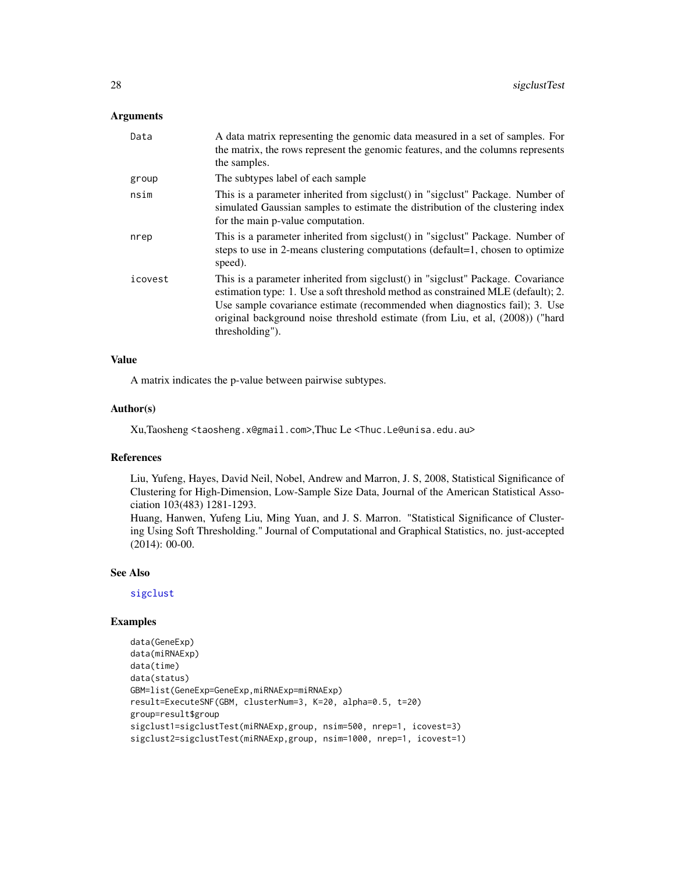#### <span id="page-27-0"></span>**Arguments**

| A data matrix representing the genomic data measured in a set of samples. For<br>the matrix, the rows represent the genomic features, and the columns represents<br>the samples.                                                                                                                                                                      |
|-------------------------------------------------------------------------------------------------------------------------------------------------------------------------------------------------------------------------------------------------------------------------------------------------------------------------------------------------------|
| The subtypes label of each sample                                                                                                                                                                                                                                                                                                                     |
| This is a parameter inherited from sigclust() in "sigclust" Package. Number of<br>simulated Gaussian samples to estimate the distribution of the clustering index<br>for the main p-value computation.                                                                                                                                                |
| This is a parameter inherited from sigclust() in "sigclust" Package. Number of<br>steps to use in 2-means clustering computations (default=1, chosen to optimize<br>speed).                                                                                                                                                                           |
| This is a parameter inherited from sigclust() in "sigclust" Package. Covariance<br>estimation type: 1. Use a soft threshold method as constrained MLE (default); 2.<br>Use sample covariance estimate (recommended when diagnostics fail); 3. Use<br>original background noise threshold estimate (from Liu, et al, (2008)) ("hard<br>thresholding"). |
|                                                                                                                                                                                                                                                                                                                                                       |

### Value

A matrix indicates the p-value between pairwise subtypes.

### Author(s)

Xu,Taosheng <taosheng.x@gmail.com>,Thuc Le <Thuc.Le@unisa.edu.au>

#### References

Liu, Yufeng, Hayes, David Neil, Nobel, Andrew and Marron, J. S, 2008, Statistical Significance of Clustering for High-Dimension, Low-Sample Size Data, Journal of the American Statistical Association 103(483) 1281-1293.

Huang, Hanwen, Yufeng Liu, Ming Yuan, and J. S. Marron. "Statistical Significance of Clustering Using Soft Thresholding." Journal of Computational and Graphical Statistics, no. just-accepted (2014): 00-00.

#### See Also

[sigclust](#page-0-0)

```
data(GeneExp)
data(miRNAExp)
data(time)
data(status)
GBM=list(GeneExp=GeneExp,miRNAExp=miRNAExp)
result=ExecuteSNF(GBM, clusterNum=3, K=20, alpha=0.5, t=20)
group=result$group
sigclust1=sigclustTest(miRNAExp,group, nsim=500, nrep=1, icovest=3)
sigclust2=sigclustTest(miRNAExp,group, nsim=1000, nrep=1, icovest=1)
```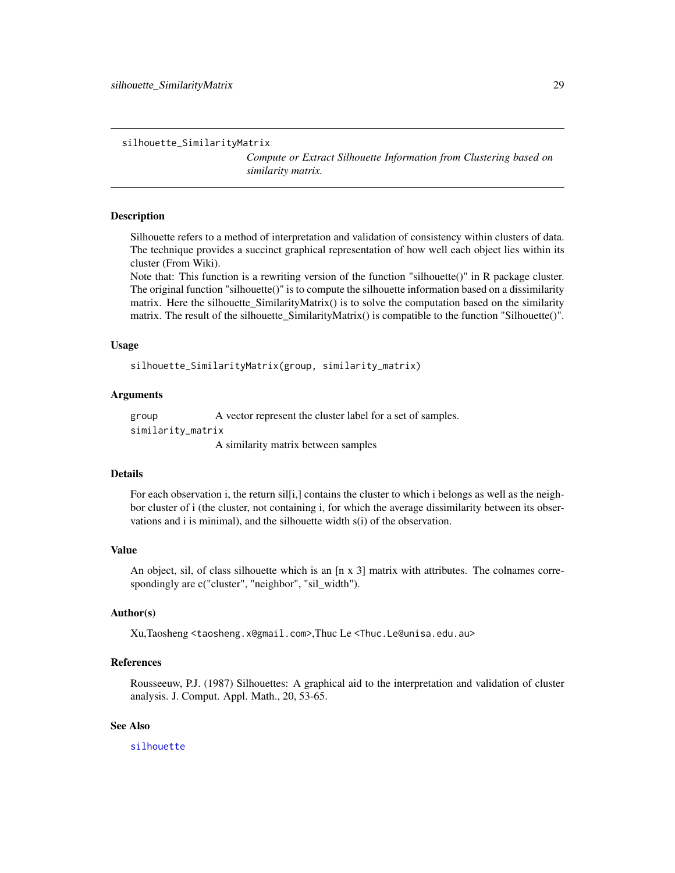<span id="page-28-0"></span>silhouette\_SimilarityMatrix

*Compute or Extract Silhouette Information from Clustering based on similarity matrix.*

#### Description

Silhouette refers to a method of interpretation and validation of consistency within clusters of data. The technique provides a succinct graphical representation of how well each object lies within its cluster (From Wiki).

Note that: This function is a rewriting version of the function "silhouette()" in R package cluster. The original function "silhouette()" is to compute the silhouette information based on a dissimilarity matrix. Here the silhouette\_SimilarityMatrix() is to solve the computation based on the similarity matrix. The result of the silhouette\_SimilarityMatrix() is compatible to the function "Silhouette()".

#### Usage

silhouette\_SimilarityMatrix(group, similarity\_matrix)

#### Arguments

group A vector represent the cluster label for a set of samples. similarity\_matrix A similarity matrix between samples

### Details

For each observation i, the return silli, contains the cluster to which i belongs as well as the neighbor cluster of i (the cluster, not containing i, for which the average dissimilarity between its observations and i is minimal), and the silhouette width s(i) of the observation.

#### Value

An object, sil, of class silhouette which is an  $[n \times 3]$  matrix with attributes. The colnames correspondingly are c("cluster", "neighbor", "sil\_width").

### Author(s)

Xu,Taosheng <taosheng.x@gmail.com>,Thuc Le <Thuc.Le@unisa.edu.au>

#### References

Rousseeuw, P.J. (1987) Silhouettes: A graphical aid to the interpretation and validation of cluster analysis. J. Comput. Appl. Math., 20, 53-65.

### See Also

[silhouette](#page-0-0)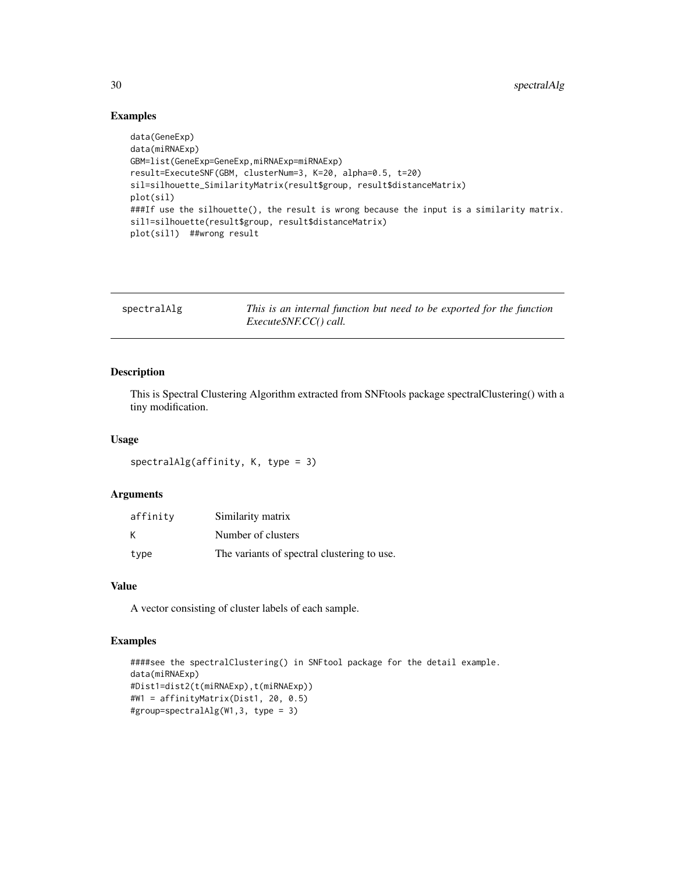### Examples

```
data(GeneExp)
data(miRNAExp)
GBM=list(GeneExp=GeneExp,miRNAExp=miRNAExp)
result=ExecuteSNF(GBM, clusterNum=3, K=20, alpha=0.5, t=20)
sil=silhouette_SimilarityMatrix(result$group, result$distanceMatrix)
plot(sil)
###If use the silhouette(), the result is wrong because the input is a similarity matrix.
sil1=silhouette(result$group, result$distanceMatrix)
plot(sil1) ##wrong result
```

| spectralAlg | This is an internal function but need to be exported for the function |
|-------------|-----------------------------------------------------------------------|
|             | <i>ExecuteSNF.CC() call.</i>                                          |

#### Description

This is Spectral Clustering Algorithm extracted from SNFtools package spectralClustering() with a tiny modification.

#### Usage

```
spectralAlg(affinity, K, type = 3)
```
### Arguments

| affinity | Similarity matrix                           |
|----------|---------------------------------------------|
| К        | Number of clusters                          |
| type     | The variants of spectral clustering to use. |

### Value

A vector consisting of cluster labels of each sample.

```
####see the spectralClustering() in SNFtool package for the detail example.
data(miRNAExp)
#Dist1=dist2(t(miRNAExp),t(miRNAExp))
#W1 = affinityMatrix(Dist1, 20, 0.5)
#group=spectralAlg(W1,3, type = 3)
```
<span id="page-29-0"></span>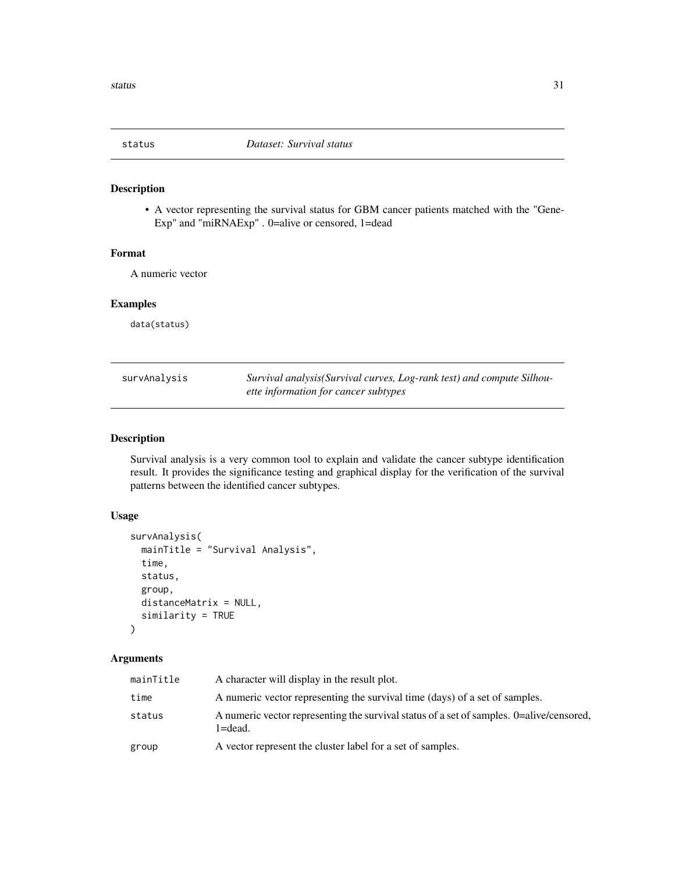<span id="page-30-0"></span>

• A vector representing the survival status for GBM cancer patients matched with the "Gene-Exp" and "miRNAExp" . 0=alive or censored, 1=dead

#### Format

A numeric vector

#### Examples

data(status)

| survAnalysis | Survival analysis (Survival curves, Log-rank test) and compute Silhou- |
|--------------|------------------------------------------------------------------------|
|              | ette information for cancer subtypes                                   |

### Description

Survival analysis is a very common tool to explain and validate the cancer subtype identification result. It provides the significance testing and graphical display for the verification of the survival patterns between the identified cancer subtypes.

### Usage

```
survAnalysis(
 mainTitle = "Survival Analysis",
  time,
  status,
  group,
 distanceMatrix = NULL,
  similarity = TRUE
)
```

| mainTitle | A character will display in the result plot.                                                            |
|-----------|---------------------------------------------------------------------------------------------------------|
| time      | A numeric vector representing the survival time (days) of a set of samples.                             |
| status    | A numeric vector representing the survival status of a set of samples. 0=alive/censored,<br>$1 = dead.$ |
| group     | A vector represent the cluster label for a set of samples.                                              |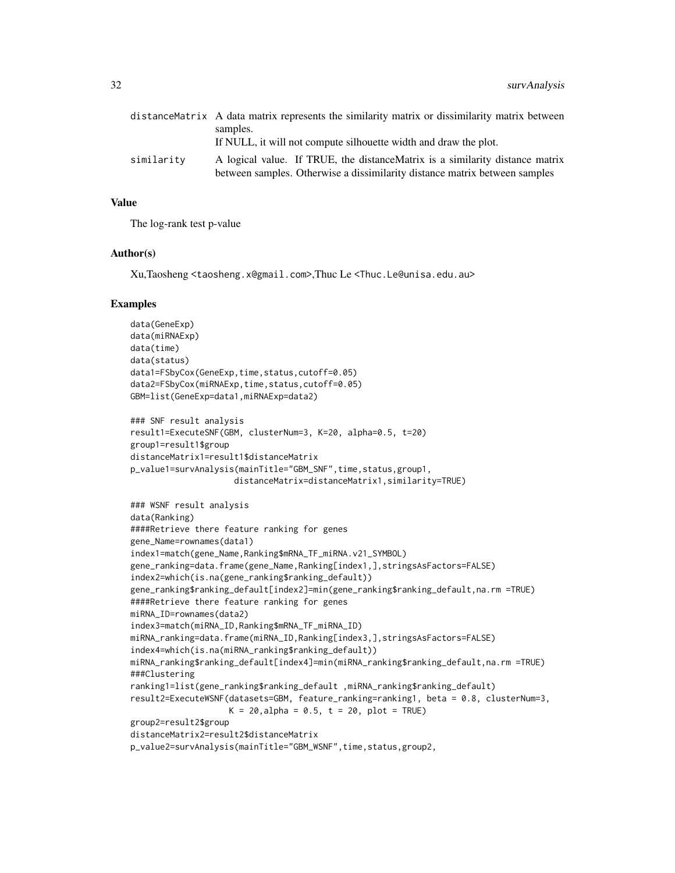|            | distanceMatrix A data matrix represents the similarity matrix or dissimilarity matrix between<br>samples.                                                   |
|------------|-------------------------------------------------------------------------------------------------------------------------------------------------------------|
|            |                                                                                                                                                             |
|            | If NULL, it will not compute silhouette width and draw the plot.                                                                                            |
| similarity | A logical value. If TRUE, the distance Matrix is a similarity distance matrix<br>between samples. Otherwise a dissimilarity distance matrix between samples |

#### Value

The log-rank test p-value

#### Author(s)

Xu,Taosheng <taosheng.x@gmail.com>,Thuc Le <Thuc.Le@unisa.edu.au>

```
data(GeneExp)
data(miRNAExp)
data(time)
data(status)
data1=FSbyCox(GeneExp,time,status,cutoff=0.05)
data2=FSbyCox(miRNAExp,time,status,cutoff=0.05)
GBM=list(GeneExp=data1,miRNAExp=data2)
### SNF result analysis
result1=ExecuteSNF(GBM, clusterNum=3, K=20, alpha=0.5, t=20)
group1=result1$group
distanceMatrix1=result1$distanceMatrix
p_value1=survAnalysis(mainTitle="GBM_SNF",time,status,group1,
                     distanceMatrix=distanceMatrix1,similarity=TRUE)
### WSNF result analysis
data(Ranking)
####Retrieve there feature ranking for genes
gene_Name=rownames(data1)
index1=match(gene_Name,Ranking$mRNA_TF_miRNA.v21_SYMBOL)
gene_ranking=data.frame(gene_Name,Ranking[index1,],stringsAsFactors=FALSE)
index2=which(is.na(gene_ranking$ranking_default))
gene_ranking$ranking_default[index2]=min(gene_ranking$ranking_default,na.rm =TRUE)
####Retrieve there feature ranking for genes
miRNA_ID=rownames(data2)
index3=match(miRNA_ID,Ranking$mRNA_TF_miRNA_ID)
miRNA_ranking=data.frame(miRNA_ID,Ranking[index3,],stringsAsFactors=FALSE)
index4=which(is.na(miRNA_ranking$ranking_default))
miRNA_ranking$ranking_default[index4]=min(miRNA_ranking$ranking_default,na.rm =TRUE)
###Clustering
ranking1=list(gene_ranking$ranking_default ,miRNA_ranking$ranking_default)
result2=ExecuteWSNF(datasets=GBM, feature_ranking=ranking1, beta = 0.8, clusterNum=3,
                    K = 20, alpha = 0.5, t = 20, plot = TRUE)
group2=result2$group
distanceMatrix2=result2$distanceMatrix
p_value2=survAnalysis(mainTitle="GBM_WSNF",time,status,group2,
```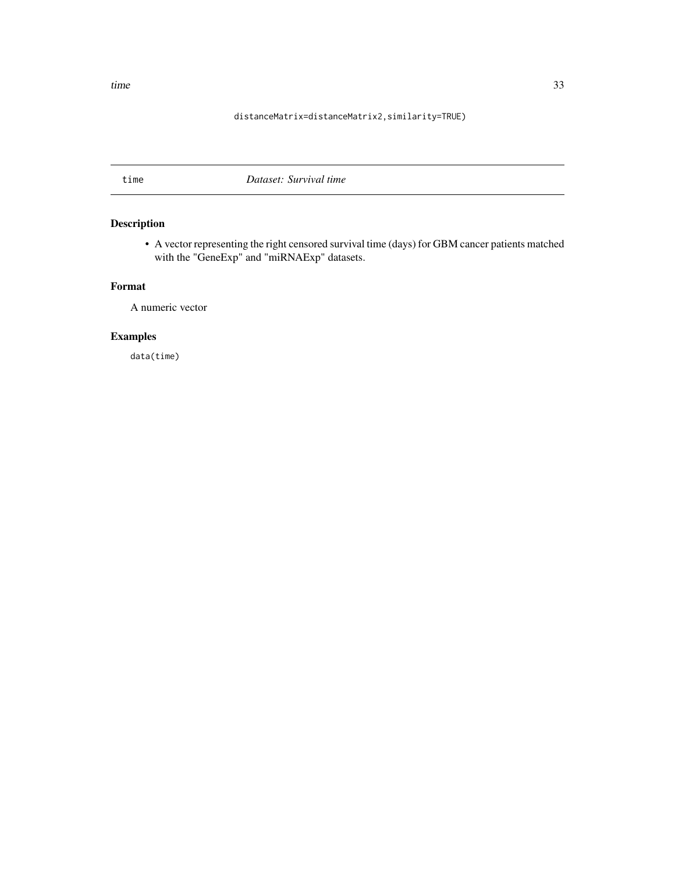### distanceMatrix=distanceMatrix2,similarity=TRUE)

### <span id="page-32-0"></span>time *Dataset: Survival time*

### Description

• A vector representing the right censored survival time (days) for GBM cancer patients matched with the "GeneExp" and "miRNAExp" datasets.

### Format

A numeric vector

### Examples

data(time)